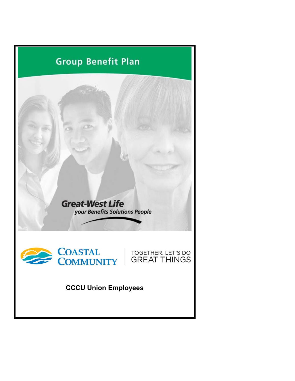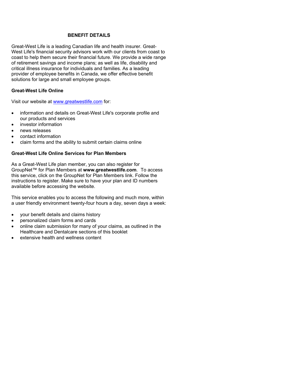#### **BENEFIT DETAILS**

Great-West Life is a leading Canadian life and health insurer. Great-West Life's financial security advisors work with our clients from coast to coast to help them secure their financial future. We provide a wide range of retirement savings and income plans; as well as life, disability and critical illness insurance for individuals and families. As a leading provider of employee benefits in Canada, we offer effective benefit solutions for large and small employee groups.

#### **Great-West Life Online**

Visit our website at www.greatwestlife.com for:

- information and details on Great-West Life's corporate profile and our products and services
- investor information
- news releases
- contact information
- claim forms and the ability to submit certain claims online

#### **Great-West Life Online Services for Plan Members**

As a Great-West Life plan member, you can also register for GroupNet™ for Plan Members at **www.greatwestlife.com**. To access this service, click on the GroupNet for Plan Members link. Follow the instructions to register. Make sure to have your plan and ID numbers available before accessing the website.

This service enables you to access the following and much more, within a user friendly environment twenty-four hours a day, seven days a week:

- your benefit details and claims history
- personalized claim forms and cards
- online claim submission for many of your claims, as outlined in the Healthcare and Dentalcare sections of this booklet
- extensive health and wellness content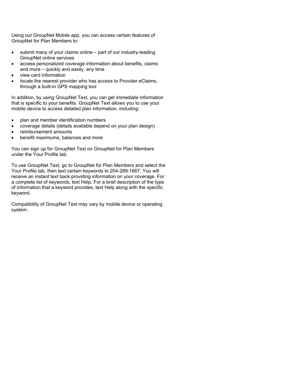Using our GroupNet Mobile app, you can access certain features of GroupNet for Plan Members to:

- submit many of your claims online part of our industry-leading GroupNet online services
- access personalized coverage information about benefits, claims and more – quickly and easily, any time
- view card information
- locate the nearest provider who has access to Provider eClaims, through a built-in GPS mapping tool

In addition, by using GroupNet Text, you can get immediate information that is specific to your benefits. GroupNet Text allows you to use your mobile device to access detailed plan information, including:

- plan and member identification numbers
- coverage details (details available depend on your plan design)
- reimbursement amounts
- benefit maximums, balances and more

You can sign up for GroupNet Text on GroupNet for Plan Members under the Your Profile tab.

To use GroupNet Text, go to GroupNet for Plan Members and select the Your Profile tab, then text certain keywords to 204-289-1667. You will receive an instant text back providing information on your coverage. For a complete list of keywords, text Help. For a brief description of the type of information that a keyword provides, text Help along with the specific keyword.

Compatibility of GroupNet Text may vary by mobile device or operating system.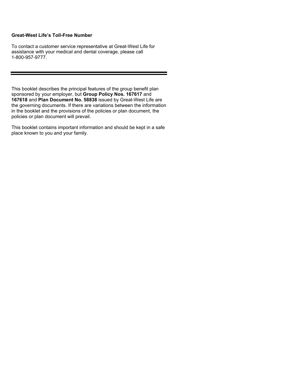#### **Great-West Life's Toll-Free Number**

To contact a customer service representative at Great-West Life for assistance with your medical and dental coverage, please call 1-800-957-9777.

This booklet describes the principal features of the group benefit plan sponsored by your employer, but **Group Policy Nos. 167617** and **167618** and **Plan Document No. 58838** issued by Great-West Life are the governing documents. If there are variations between the information in the booklet and the provisions of the policies or plan document, the policies or plan document will prevail.

This booklet contains important information and should be kept in a safe place known to you and your family.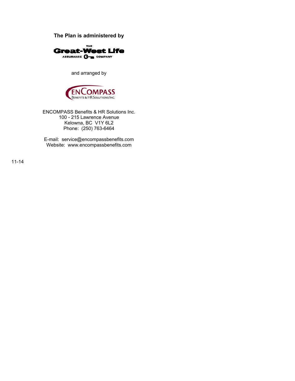**The Plan is administered by** 



and arranged by



ENCOMPASS Benefits & HR Solutions Inc. 100 - 215 Lawrence Avenue Kelowna, BC V1Y 6L2 Phone: (250) 763-6464

E-mail: service@encompassbenefits.com Website: www.encompassbenefits.com

11-14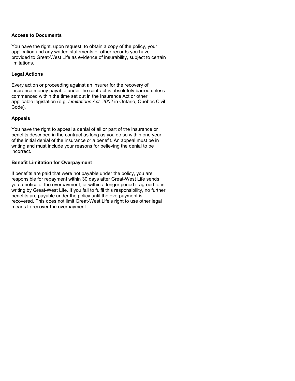#### **Access to Documents**

You have the right, upon request, to obtain a copy of the policy, your application and any written statements or other records you have provided to Great-West Life as evidence of insurability, subject to certain limitations.

#### **Legal Actions**

Every action or proceeding against an insurer for the recovery of insurance money payable under the contract is absolutely barred unless commenced within the time set out in the Insurance Act or other applicable legislation (e.g. *Limitations Act, 2002* in Ontario, Quebec Civil Code).

#### **Appeals**

You have the right to appeal a denial of all or part of the insurance or benefits described in the contract as long as you do so within one year of the initial denial of the insurance or a benefit. An appeal must be in writing and must include your reasons for believing the denial to be incorrect.

#### **Benefit Limitation for Overpayment**

If benefits are paid that were not payable under the policy, you are responsible for repayment within 30 days after Great-West Life sends you a notice of the overpayment, or within a longer period if agreed to in writing by Great-West Life. If you fail to fulfil this responsibility, no further benefits are payable under the policy until the overpayment is recovered. This does not limit Great-West Life's right to use other legal means to recover the overpayment.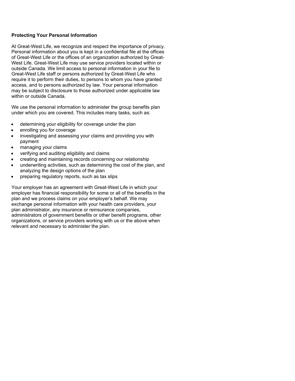#### **Protecting Your Personal Information**

At Great-West Life, we recognize and respect the importance of privacy. Personal information about you is kept in a confidential file at the offices of Great-West Life or the offices of an organization authorized by Great-West Life. Great-West Life may use service providers located within or outside Canada. We limit access to personal information in your file to Great-West Life staff or persons authorized by Great-West Life who require it to perform their duties, to persons to whom you have granted access, and to persons authorized by law. Your personal information may be subject to disclosure to those authorized under applicable law within or outside Canada.

We use the personal information to administer the group benefits plan under which you are covered. This includes many tasks, such as:

- determining your eligibility for coverage under the plan
- enrolling you for coverage
- investigating and assessing your claims and providing you with payment
- managing your claims
- verifying and auditing eligibility and claims
- creating and maintaining records concerning our relationship
- underwriting activities, such as determining the cost of the plan, and analyzing the design options of the plan
- preparing regulatory reports, such as tax slips

Your employer has an agreement with Great-West Life in which your employer has financial responsibility for some or all of the benefits in the plan and we process claims on your employer's behalf. We may exchange personal information with your health care providers, your plan administrator, any insurance or reinsurance companies, administrators of government benefits or other benefit programs, other organizations, or service providers working with us or the above when relevant and necessary to administer the plan.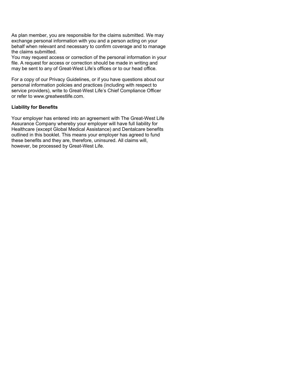As plan member, you are responsible for the claims submitted. We may exchange personal information with you and a person acting on your behalf when relevant and necessary to confirm coverage and to manage the claims submitted.

You may request access or correction of the personal information in your file. A request for access or correction should be made in writing and may be sent to any of Great-West Life's offices or to our head office.

For a copy of our Privacy Guidelines, or if you have questions about our personal information policies and practices (including with respect to service providers), write to Great-West Life's Chief Compliance Officer or refer to www.greatwestlife.com.

### **Liability for Benefits**

Your employer has entered into an agreement with The Great-West Life Assurance Company whereby your employer will have full liability for Healthcare (except Global Medical Assistance) and Dentalcare benefits outlined in this booklet. This means your employer has agreed to fund these benefits and they are, therefore, uninsured. All claims will, however, be processed by Great-West Life.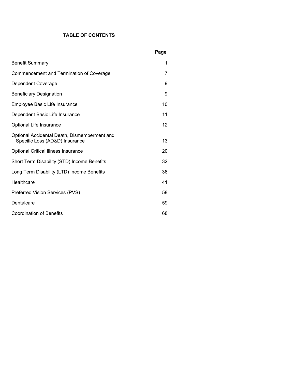# **TABLE OF CONTENTS**

|                                                                                | Page |
|--------------------------------------------------------------------------------|------|
| <b>Benefit Summary</b>                                                         | 1    |
| Commencement and Termination of Coverage                                       | 7    |
| Dependent Coverage                                                             | 9    |
| <b>Beneficiary Designation</b>                                                 | 9    |
| Employee Basic Life Insurance                                                  | 10   |
| Dependent Basic Life Insurance                                                 | 11   |
| Optional Life Insurance                                                        | 12   |
| Optional Accidental Death, Dismemberment and<br>Specific Loss (AD&D) Insurance | 13   |
| <b>Optional Critical Illness Insurance</b>                                     | 20   |
| Short Term Disability (STD) Income Benefits                                    | 32   |
| Long Term Disability (LTD) Income Benefits                                     | 36   |
| Healthcare                                                                     | 41   |
| Preferred Vision Services (PVS)                                                | 58   |
| Dentalcare                                                                     | 59   |
| <b>Coordination of Benefits</b>                                                | 68   |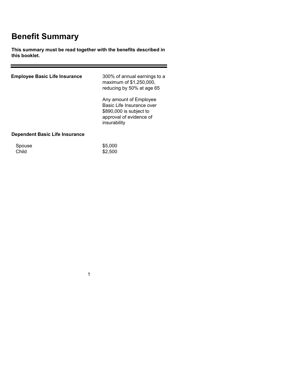# **Benefit Summary**

**This summary must be read together with the benefits described in this booklet.** 

<u> 1989 - Johann Barnett, fransk politiker (</u>

| <b>Employee Basic Life Insurance</b> | 300% of annual earnings to a<br>maximum of \$1,250,000,<br>reducing by 50% at age 65                                      |
|--------------------------------------|---------------------------------------------------------------------------------------------------------------------------|
|                                      | Any amount of Employee<br>Basic Life Insurance over<br>\$890,000 is subject to<br>approval of evidence of<br>insurability |
| Dependent Basic Life Insurance       |                                                                                                                           |
| Spouse<br>Child                      | \$5,000<br>\$2,500                                                                                                        |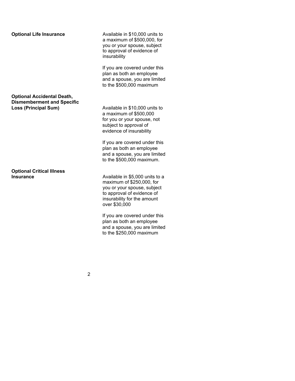**Optional Accidental Death, Dismemberment and Specific**

**Optional Critical Illness** 

**Optional Life Insurance** Available in \$10,000 units to a maximum of \$500,000, for you or your spouse, subject to approval of evidence of insurability

> If you are covered under this plan as both an employee and a spouse, you are limited to the \$500,000 maximum

**Loss (Principal Sum)** Available in \$10,000 units to a maximum of \$500,000 for you or your spouse, not subject to approval of evidence of insurability

> If you are covered under this plan as both an employee and a spouse, you are limited to the \$500,000 maximum.

**Insurance Insurance Available in \$5,000 units to a** maximum of \$250,000, for you or your spouse, subject to approval of evidence of insurability for the amount over \$30,000

> If you are covered under this plan as both an employee and a spouse, you are limited to the \$250,000 maximum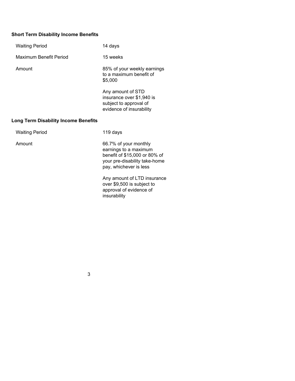# **Short Term Disability Income Benefits**

| <b>Waiting Period</b>                       | 14 days                                                                                                                                    |
|---------------------------------------------|--------------------------------------------------------------------------------------------------------------------------------------------|
| Maximum Benefit Period                      | 15 weeks                                                                                                                                   |
| Amount                                      | 85% of your weekly earnings<br>to a maximum benefit of<br>\$5,000                                                                          |
|                                             | Any amount of STD<br>insurance over \$1,940 is<br>subject to approval of<br>evidence of insurability                                       |
| <b>Long Term Disability Income Benefits</b> |                                                                                                                                            |
| <b>Waiting Period</b>                       | 119 days                                                                                                                                   |
| Amount                                      | 66.7% of your monthly<br>earnings to a maximum<br>benefit of \$15,000 or 80% of<br>your pre-disability take-home<br>pay, whichever is less |
|                                             | Any amount of LTD insurance<br>over \$9,500 is subject to<br>approval of evidence of                                                       |

3

insurability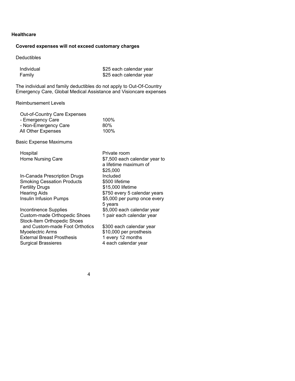#### **Healthcare**

# **Covered expenses will not exceed customary charges**

Deductibles

| Individual | \$25 each calendar year |
|------------|-------------------------|
| Family     | \$25 each calendar year |

The individual and family deductibles do not apply to Out-Of-Country Emergency Care, Global Medical Assistance and Visioncare expenses

Reimbursement Levels

| <b>Out-of-Country Care Expenses</b><br>- Emergency Care<br>- Non-Emergency Care<br>All Other Expenses | 100%<br>80%<br>100%                                                |
|-------------------------------------------------------------------------------------------------------|--------------------------------------------------------------------|
| <b>Basic Expense Maximums</b>                                                                         |                                                                    |
| Hospital                                                                                              | Private room                                                       |
| Home Nursing Care                                                                                     | \$7,500 each calendar year to<br>a lifetime maximum of<br>\$25,000 |
| In-Canada Prescription Drugs                                                                          | Included                                                           |
| <b>Smoking Cessation Products</b>                                                                     | \$500 lifetime                                                     |
| <b>Fertility Drugs</b>                                                                                | \$15,000 lifetime                                                  |
| <b>Hearing Aids</b>                                                                                   | \$750 every 5 calendar years                                       |
| Insulin Infusion Pumps                                                                                | \$5,000 per pump once every<br>5 years                             |
| <b>Incontinence Supplies</b>                                                                          | \$5,000 each calendar year                                         |
| Custom-made Orthopedic Shoes                                                                          | 1 pair each calendar year                                          |
| <b>Stock-Item Orthopedic Shoes</b>                                                                    |                                                                    |
| and Custom-made Foot Orthotics                                                                        | \$300 each calendar year                                           |
| Myoelectric Arms                                                                                      | \$10,000 per prosthesis                                            |
| <b>External Breast Prosthesis</b>                                                                     | 1 every 12 months                                                  |

Surgical Brassieres 4 each calendar year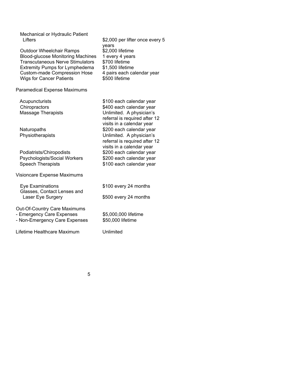Mechanical or Hydraulic Patient<br>Lifters

Outdoor Wheelchair Ramps \$2,000 lifetime Blood-glucose Monitoring Machines 1 every 4 years Transcutaneous Nerve Stimulators \$700 lifetime Extremity Pumps for Lymphedema \$1,500 lifetime<br>Custom-made Compression Hose 4 pairs each calendar year Custom-made Compression Hose Wigs for Cancer Patients \$500 lifetime

Paramedical Expense Maximums

Acupuncturists  $$100$  each calendar year Chiropractors  $$400$  each calendar year Massage Therapists Unlimited. A physician's

Naturopaths  $$200$  each calendar year Physiotherapists Unlimited. A physician's

Podiatrists/Chiropodists \$200 each calendar year Psychologists/Social Workers \$200 each calendar year Speech Therapists \$100 each calendar year

Visioncare Expense Maximums

| Eye Examinations                                 | \$100 every 24 months |
|--------------------------------------------------|-----------------------|
| Glasses, Contact Lenses and<br>Laser Eye Surgery | \$500 every 24 months |
| <b>Out-Of-Country Care Maximums</b>              |                       |
| - Emergency Care Expenses                        | \$5,000,000 lifetime  |
| - Non-Emergency Care Expenses                    | \$50,000 lifetime     |

Lifetime Healthcare Maximum Unlimited

\$2,000 per lifter once every 5

referral is required after 12 visits in a calendar year

referral is required after 12 visits in a calendar year

years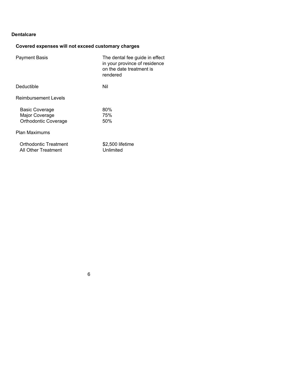#### **Dentalcare**

# **Covered expenses will not exceed customary charges**

| <b>Payment Basis</b>                                                   | The dental fee guide in effect<br>in your province of residence<br>on the date treatment is<br>rendered |
|------------------------------------------------------------------------|---------------------------------------------------------------------------------------------------------|
| Deductible                                                             | Nil                                                                                                     |
| <b>Reimbursement Levels</b>                                            |                                                                                                         |
| <b>Basic Coverage</b><br>Major Coverage<br><b>Orthodontic Coverage</b> | 80%<br>75%<br>50%                                                                                       |
| <b>Plan Maximums</b>                                                   |                                                                                                         |
| Orthodontic Treatment<br>All Other Treatment                           | \$2,500 lifetime<br>Unlimited                                                                           |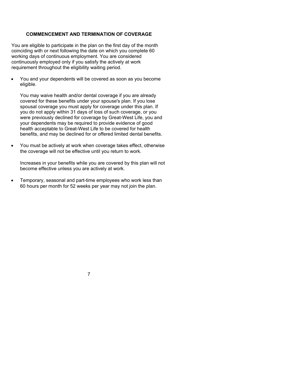#### **COMMENCEMENT AND TERMINATION OF COVERAGE**

You are eligible to participate in the plan on the first day of the month coinciding with or next following the date on which you complete 60 working days of continuous employment. You are considered continuously employed only if you satisfy the actively at work requirement throughout the eligibility waiting period.

 You and your dependents will be covered as soon as you become eligible.

You may waive health and/or dental coverage if you are already covered for these benefits under your spouse's plan. If you lose spousal coverage you must apply for coverage under this plan. If you do not apply within 31 days of loss of such coverage, or you were previously declined for coverage by Great-West Life, you and your dependents may be required to provide evidence of good health acceptable to Great-West Life to be covered for health benefits, and may be declined for or offered limited dental benefits.

 You must be actively at work when coverage takes effect, otherwise the coverage will not be effective until you return to work.

Increases in your benefits while you are covered by this plan will not become effective unless you are actively at work.

 Temporary, seasonal and part-time employees who work less than 60 hours per month for 52 weeks per year may not join the plan.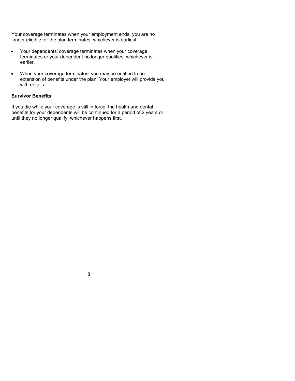Your coverage terminates when your employment ends, you are no longer eligible, or the plan terminates, whichever is earliest.

- Your dependents' coverage terminates when your coverage terminates or your dependent no longer qualifies, whichever is earlier.
- When your coverage terminates, you may be entitled to an extension of benefits under the plan. Your employer will provide you with details.

#### **Survivor Benefits**

If you die while your coverage is still in force, the health and dental benefits for your dependents will be continued for a period of 2 years or until they no longer qualify, whichever happens first.

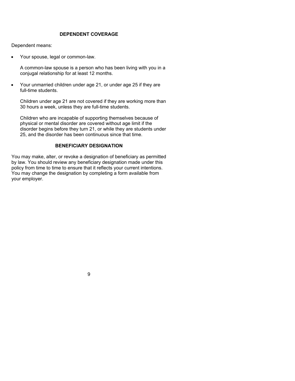#### **DEPENDENT COVERAGE**

Dependent means:

Your spouse, legal or common-law.

A common-law spouse is a person who has been living with you in a conjugal relationship for at least 12 months.

 Your unmarried children under age 21, or under age 25 if they are full-time students.

Children under age 21 are not covered if they are working more than 30 hours a week, unless they are full-time students.

Children who are incapable of supporting themselves because of physical or mental disorder are covered without age limit if the disorder begins before they turn 21, or while they are students under 25, and the disorder has been continuous since that time.

#### **BENEFICIARY DESIGNATION**

You may make, alter, or revoke a designation of beneficiary as permitted by law. You should review any beneficiary designation made under this policy from time to time to ensure that it reflects your current intentions. You may change the designation by completing a form available from your employer.

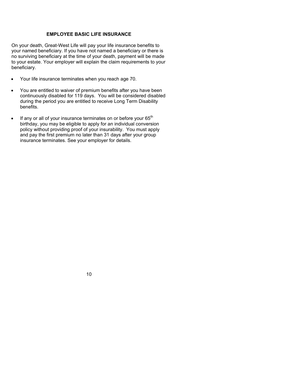#### **EMPLOYEE BASIC LIFE INSURANCE**

On your death, Great-West Life will pay your life insurance benefits to your named beneficiary. If you have not named a beneficiary or there is no surviving beneficiary at the time of your death, payment will be made to your estate. Your employer will explain the claim requirements to your beneficiary.

- Your life insurance terminates when you reach age 70.
- You are entitled to waiver of premium benefits after you have been continuously disabled for 119 days. You will be considered disabled during the period you are entitled to receive Long Term Disability benefits.
- If any or all of your insurance terminates on or before your 65<sup>th</sup> birthday, you may be eligible to apply for an individual conversion policy without providing proof of your insurability. You must apply and pay the first premium no later than 31 days after your group insurance terminates. See your employer for details.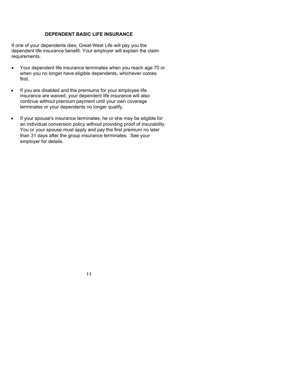#### **DEPENDENT BASIC LIFE INSURANCE**

If one of your dependents dies, Great-West Life will pay you the dependent life insurance benefit. Your employer will explain the claim requirements.

- Your dependent life insurance terminates when you reach age 70 or when you no longer have eligible dependents, whichever comes first.
- If you are disabled and the premiums for your employee life insurance are waived, your dependent life insurance will also continue without premium payment until your own coverage terminates or your dependents no longer qualify.
- If your spouse's insurance terminates, he or she may be eligible for an individual conversion policy without providing proof of insurability. You or your spouse must apply and pay the first premium no later than 31 days after the group insurance terminates. See your employer for details.

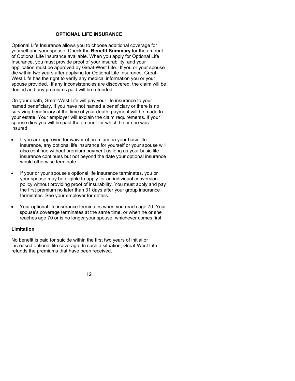#### **OPTIONAL LIFE INSURANCE**

Optional Life Insurance allows you to choose additional coverage for yourself and your spouse. Check the **Benefit Summary** for the amount of Optional Life Insurance available. When you apply for Optional Life Insurance, you must provide proof of your insurability, and your application must be approved by Great-West Life. If you or your spouse die within two years after applying for Optional Life Insurance, Great-West Life has the right to verify any medical information you or your spouse provided. If any inconsistencies are discovered, the claim will be denied and any premiums paid will be refunded.

On your death, Great-West Life will pay your life insurance to your named beneficiary. If you have not named a beneficiary or there is no surviving beneficiary at the time of your death, payment will be made to your estate. Your employer will explain the claim requirements. If your spouse dies you will be paid the amount for which he or she was insured.

- If you are approved for waiver of premium on your basic life insurance, any optional life insurance for yourself or your spouse will also continue without premium payment as long as your basic life insurance continues but not beyond the date your optional insurance would otherwise terminate.
- If your or your spouse's optional life insurance terminates, you or your spouse may be eligible to apply for an individual conversion policy without providing proof of insurability. You must apply and pay the first premium no later than 31 days after your group insurance terminates. See your employer for details.
- Your optional life insurance terminates when you reach age 70. Your spouse's coverage terminates at the same time, or when he or she reaches age 70 or is no longer your spouse, whichever comes first.

#### **Limitation**

No benefit is paid for suicide within the first two years of initial or increased optional life coverage. In such a situation, Great-West Life refunds the premiums that have been received.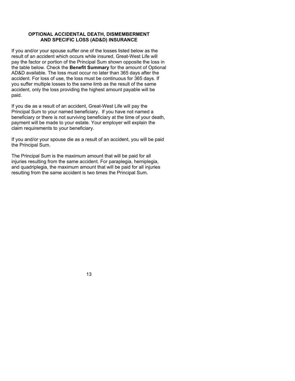#### **OPTIONAL ACCIDENTAL DEATH, DISMEMBERMENT AND SPECIFIC LOSS (AD&D) INSURANCE**

If you and/or your spouse suffer one of the losses listed below as the result of an accident which occurs while insured, Great-West Life will pay the factor or portion of the Principal Sum shown opposite the loss in the table below. Check the **Benefit Summary** for the amount of Optional AD&D available. The loss must occur no later than 365 days after the accident. For loss of use, the loss must be continuous for 365 days. If you suffer multiple losses to the same limb as the result of the same accident, only the loss providing the highest amount payable will be paid.

If you die as a result of an accident, Great-West Life will pay the Principal Sum to your named beneficiary. If you have not named a beneficiary or there is not surviving beneficiary at the time of your death, payment will be made to your estate. Your employer will explain the claim requirements to your beneficiary.

If you and/or your spouse die as a result of an accident, you will be paid the Principal Sum.

The Principal Sum is the maximum amount that will be paid for all injuries resulting from the same accident. For paraplegia, hemiplegia, and quadriplegia, the maximum amount that will be paid for all injuries resulting from the same accident is two times the Principal Sum.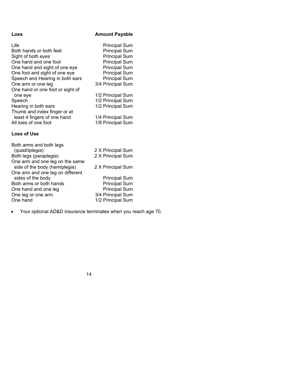# Loss **Amount Payable**

| Life                             | <b>Principal Sum</b> |
|----------------------------------|----------------------|
| Both hands or both feet          | <b>Principal Sum</b> |
| Sight of both eyes               | <b>Principal Sum</b> |
| One hand and one foot            | <b>Principal Sum</b> |
| One hand and sight of one eye    | <b>Principal Sum</b> |
| One foot and sight of one eye    | <b>Principal Sum</b> |
| Speech and Hearing in both ears  | <b>Principal Sum</b> |
| One arm or one leg               | 3/4 Principal Sum    |
| One hand or one foot or sight of |                      |
| one eye                          | 1/2 Principal Sum    |
| Speech                           | 1/2 Principal Sum    |
| Hearing in both ears             | 1/2 Principal Sum    |
| Thumb and index finger or at     |                      |
| least 4 fingers of one hand      | 1/4 Principal Sum    |
| All toes of one foot             | 1/8 Principal Sum    |
|                                  |                      |

### **Loss of Use**

| 2 X Principal Sum    |
|----------------------|
| 2 X Principal Sum    |
|                      |
| 2 X Principal Sum    |
|                      |
| <b>Principal Sum</b> |
| <b>Principal Sum</b> |
| <b>Principal Sum</b> |
| 3/4 Principal Sum    |
| 1/2 Principal Sum    |
|                      |

Your optional AD&D insurance terminates when you reach age 70.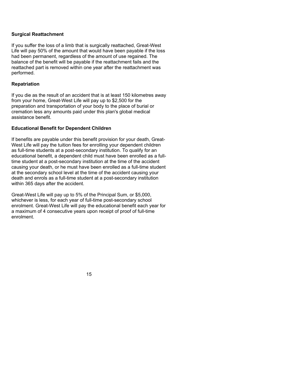#### **Surgical Reattachment**

If you suffer the loss of a limb that is surgically reattached, Great-West Life will pay 50% of the amount that would have been payable if the loss had been permanent, regardless of the amount of use regained. The balance of the benefit will be payable if the reattachment fails and the reattached part is removed within one year after the reattachment was performed.

#### **Repatriation**

If you die as the result of an accident that is at least 150 kilometres away from your home, Great-West Life will pay up to \$2,500 for the preparation and transportation of your body to the place of burial or cremation less any amounts paid under this plan's global medical assistance benefit.

#### **Educational Benefit for Dependent Children**

If benefits are payable under this benefit provision for your death, Great-West Life will pay the tuition fees for enrolling your dependent children as full-time students at a post-secondary institution. To qualify for an educational benefit, a dependent child must have been enrolled as a fulltime student at a post-secondary institution at the time of the accident causing your death, or he must have been enrolled as a full-time student at the secondary school level at the time of the accident causing your death and enrols as a full-time student at a post-secondary institution within 365 days after the accident.

Great-West Life will pay up to 5% of the Principal Sum, or \$5,000, whichever is less, for each year of full-time post-secondary school enrolment. Great-West Life will pay the educational benefit each year for a maximum of 4 consecutive years upon receipt of proof of full-time enrolment.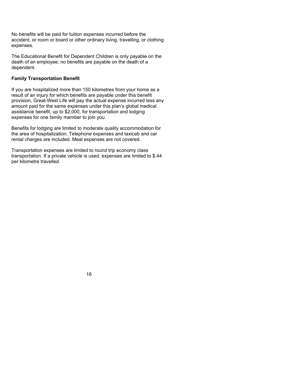No benefits will be paid for tuition expenses incurred before the accident, or room or board or other ordinary living, travelling, or clothing expenses.

The Educational Benefit for Dependent Children is only payable on the death of an employee; no benefits are payable on the death of a dependent.

#### **Family Transportation Benefit**

If you are hospitalized more than 150 kilometres from your home as a result of an injury for which benefits are payable under this benefit provision, Great-West Life will pay the actual expense incurred less any amount paid for the same expenses under this plan's global medical assistance benefit, up to \$2,000, for transportation and lodging expenses for one family member to join you.

Benefits for lodging are limited to moderate quality accommodation for the area of hospitalization. Telephone expenses and taxicab and car rental charges are included. Meal expenses are not covered.

Transportation expenses are limited to round trip economy class transportation. If a private vehicle is used, expenses are limited to \$.44 per kilometre travelled.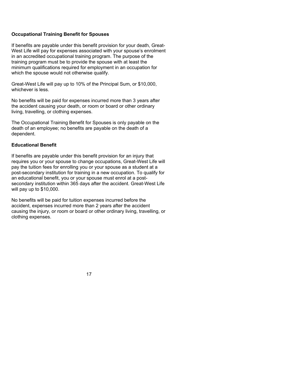#### **Occupational Training Benefit for Spouses**

If benefits are payable under this benefit provision for your death, Great-West Life will pay for expenses associated with your spouse's enrolment in an accredited occupational training program. The purpose of the training program must be to provide the spouse with at least the minimum qualifications required for employment in an occupation for which the spouse would not otherwise qualify.

Great-West Life will pay up to 10% of the Principal Sum, or \$10,000, whichever is less.

No benefits will be paid for expenses incurred more than 3 years after the accident causing your death, or room or board or other ordinary living, travelling, or clothing expenses.

The Occupational Training Benefit for Spouses is only payable on the death of an employee; no benefits are payable on the death of a dependent.

#### **Educational Benefit**

If benefits are payable under this benefit provision for an injury that requires you or your spouse to change occupations, Great-West Life will pay the tuition fees for enrolling you or your spouse as a student at a post-secondary institution for training in a new occupation. To qualify for an educational benefit, you or your spouse must enrol at a postsecondary institution within 365 days after the accident. Great-West Life will pay up to \$10,000.

No benefits will be paid for tuition expenses incurred before the accident, expenses incurred more than 2 years after the accident causing the injury, or room or board or other ordinary living, travelling, or clothing expenses.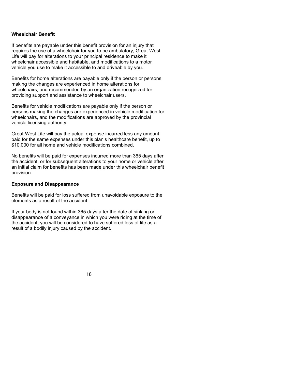#### **Wheelchair Benefit**

If benefits are payable under this benefit provision for an injury that requires the use of a wheelchair for you to be ambulatory, Great-West Life will pay for alterations to your principal residence to make it wheelchair accessible and habitable, and modifications to a motor vehicle you use to make it accessible to and driveable by you.

Benefits for home alterations are payable only if the person or persons making the changes are experienced in home alterations for wheelchairs, and recommended by an organization recognized for providing support and assistance to wheelchair users.

Benefits for vehicle modifications are payable only if the person or persons making the changes are experienced in vehicle modification for wheelchairs, and the modifications are approved by the provincial vehicle licensing authority.

Great-West Life will pay the actual expense incurred less any amount paid for the same expenses under this plan's healthcare benefit, up to \$10,000 for all home and vehicle modifications combined.

No benefits will be paid for expenses incurred more than 365 days after the accident, or for subsequent alterations to your home or vehicle after an initial claim for benefits has been made under this wheelchair benefit provision.

#### **Exposure and Disappearance**

Benefits will be paid for loss suffered from unavoidable exposure to the elements as a result of the accident.

If your body is not found within 365 days after the date of sinking or disappearance of a conveyance in which you were riding at the time of the accident, you will be considered to have suffered loss of life as a result of a bodily injury caused by the accident.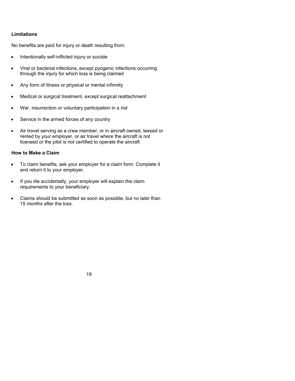#### **Limitations**

No benefits are paid for injury or death resulting from:

- Intentionally self-inflicted injury or suicide
- Viral or bacterial infections, except pyogenic infections occurring through the injury for which loss is being claimed
- Any form of illness or physical or mental infirmity
- Medical or surgical treatment, except surgical reattachment
- War, insurrection or voluntary participation in a riot
- Service in the armed forces of any country
- Air travel serving as a crew member, or in aircraft owned, leased or rented by your employer, or air travel where the aircraft is not licensed or the pilot is not certified to operate the aircraft

#### **How to Make a Claim**

- To claim benefits, ask your employer for a claim form. Complete it and return it to your employer.
- If you die accidentally, your employer will explain the claim requirements to your beneficiary.
- Claims should be submitted as soon as possible, but no later than 15 months after the loss.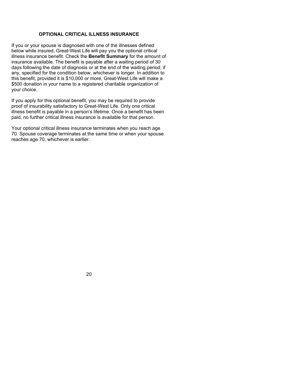#### **OPTIONAL CRITICAL ILLNESS INSURANCE**

If you or your spouse is diagnosed with one of the illnesses defined below while insured, Great-West Life will pay you the optional critical illness insurance benefit. Check the **Benefit Summary** for the amount of insurance available. The benefit is payable after a waiting period of 30 days following the date of diagnosis or at the end of the waiting period, if any, specified for the condition below, whichever is longer. In addition to this benefit, provided it is \$10,000 or more, Great-West Life will make a \$500 donation in your name to a registered charitable organization of your choice.

If you apply for this optional benefit, you may be required to provide proof of insurability satisfactory to Great-West Life. Only one critical illness benefit is payable in a person's lifetime. Once a benefit has been paid, no further critical illness insurance is available for that person.

Your optional critical illness insurance terminates when you reach age 70. Spouse coverage terminates at the same time or when your spouse reaches age 70, whichever is earlier.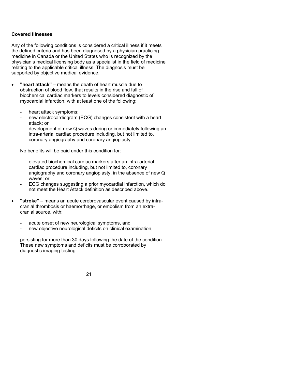#### **Covered Illnesses**

Any of the following conditions is considered a critical illness if it meets the defined criteria and has been diagnosed by a physician practicing medicine in Canada or the United States who is recognized by the physician's medical licensing body as a specialist in the field of medicine relating to the applicable critical illness. The diagnosis must be supported by objective medical evidence.

- **"heart attack"** means the death of heart muscle due to obstruction of blood flow, that results in the rise and fall of biochemical cardiac markers to levels considered diagnostic of myocardial infarction, with at least one of the following:
	- heart attack symptoms;
	- new electrocardiogram (ECG) changes consistent with a heart attack; or
	- development of new Q waves during or immediately following an intra-arterial cardiac procedure including, but not limited to, coronary angiography and coronary angioplasty.

No benefits will be paid under this condition for:

- elevated biochemical cardiac markers after an intra-arterial cardiac procedure including, but not limited to, coronary angiography and coronary angioplasty, in the absence of new Q waves; or
- ECG changes suggesting a prior myocardial infarction, which do not meet the Heart Attack definition as described above.
- **"stroke"** means an acute cerebrovascular event caused by intracranial thrombosis or haemorrhage, or embolism from an extracranial source, with:
	- acute onset of new neurological symptoms, and
	- new objective neurological deficits on clinical examination,

persisting for more than 30 days following the date of the condition. These new symptoms and deficits must be corroborated by diagnostic imaging testing.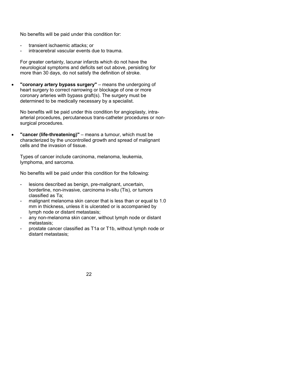No benefits will be paid under this condition for:

- transient ischaemic attacks; or
- intracerebral vascular events due to trauma.

For greater certainty, lacunar infarcts which do not have the neurological symptoms and deficits set out above, persisting for more than 30 days, do not satisfy the definition of stroke.

 **"coronary artery bypass surgery"** – means the undergoing of heart surgery to correct narrowing or blockage of one or more coronary arteries with bypass graft(s). The surgery must be determined to be medically necessary by a specialist.

No benefits will be paid under this condition for angioplasty, intraarterial procedures, percutaneous trans-catheter procedures or nonsurgical procedures.

 **"cancer (life-threatening)"** – means a tumour, which must be characterized by the uncontrolled growth and spread of malignant cells and the invasion of tissue.

Types of cancer include carcinoma, melanoma, leukemia, lymphoma, and sarcoma.

No benefits will be paid under this condition for the following:

- lesions described as benign, pre-malignant, uncertain, borderline, non-invasive, carcinoma in-situ (Tis), or tumors classified as Ta;
- malignant melanoma skin cancer that is less than or equal to 1.0 mm in thickness, unless it is ulcerated or is accompanied by lymph node or distant metastasis;
- any non-melanoma skin cancer, without lymph node or distant metastasis;
- prostate cancer classified as T1a or T1b, without lymph node or distant metastasis;

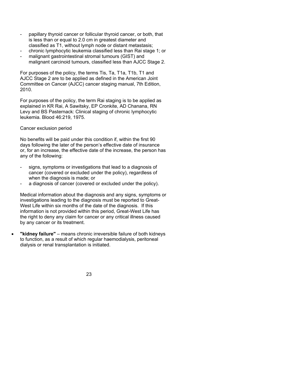- papillary thyroid cancer or follicular thyroid cancer, or both, that is less than or equal to 2.0 cm in greatest diameter and classified as T1, without lymph node or distant metastasis;
- chronic lymphocytic leukemia classified less than Rai stage 1; or
- malignant gastrointestinal stromal tumours (GIST) and malignant carcinoid tumours, classified less than AJCC Stage 2.

For purposes of the policy, the terms Tis, Ta, T1a, T1b, T1 and AJCC Stage 2 are to be applied as defined in the American Joint Committee on Cancer (AJCC) cancer staging manual, 7th Edition, 2010.

For purposes of the policy, the term Rai staging is to be applied as explained in KR Rai, A Sawitsky, EP Cronkite, AD Chanana, RN Levy and BS Pasternack: Clinical staging of chronic lymphocytic leukemia. Blood 46:219, 1975.

Cancer exclusion period

No benefits will be paid under this condition if, within the first 90 days following the later of the person's effective date of insurance or, for an increase, the effective date of the increase, the person has any of the following:

- signs, symptoms or investigations that lead to a diagnosis of cancer (covered or excluded under the policy), regardless of when the diagnosis is made; or
- a diagnosis of cancer (covered or excluded under the policy).

Medical information about the diagnosis and any signs, symptoms or investigations leading to the diagnosis must be reported to Great-West Life within six months of the date of the diagnosis. If this information is not provided within this period, Great-West Life has the right to deny any claim for cancer or any critical illness caused by any cancer or its treatment.

 **"kidney failure"** – means chronic irreversible failure of both kidneys to function, as a result of which regular haemodialysis, peritoneal dialysis or renal transplantation is initiated.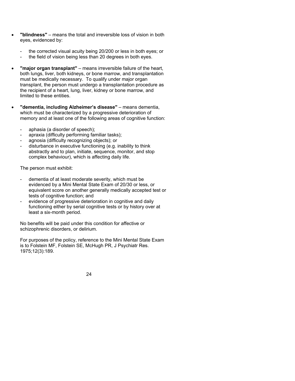- **"blindness"** means the total and irreversible loss of vision in both eyes, evidenced by:
	- the corrected visual acuity being 20/200 or less in both eyes; or
	- the field of vision being less than 20 degrees in both eyes.
- **"major organ transplant"** means irreversible failure of the heart, both lungs, liver, both kidneys, or bone marrow, and transplantation must be medically necessary. To qualify under major organ transplant, the person must undergo a transplantation procedure as the recipient of a heart, lung, liver, kidney or bone marrow, and limited to these entities.
- **"dementia, including Alzheimer's disease"** means dementia, which must be characterized by a progressive deterioration of memory and at least one of the following areas of cognitive function:
	- aphasia (a disorder of speech);
	- apraxia (difficulty performing familiar tasks);
	- agnosia (difficulty recognizing objects); or
	- disturbance in executive functioning (e.g. inability to think abstractly and to plan, initiate, sequence, monitor, and stop complex behaviour), which is affecting daily life.

The person must exhibit:

- dementia of at least moderate severity, which must be evidenced by a Mini Mental State Exam of 20/30 or less, or equivalent score on another generally medically accepted test or tests of cognitive function; and
- evidence of progressive deterioration in cognitive and daily functioning either by serial cognitive tests or by history over at least a six-month period.

No benefits will be paid under this condition for affective or schizophrenic disorders, or delirium.

For purposes of the policy, reference to the Mini Mental State Exam is to Folstein MF, Folstein SE, McHugh PR, J Psychiatr Res. 1975;12(3):189.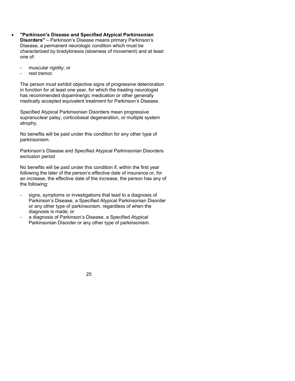- **"Parkinson's Disease and Specified Atypical Parkinsonian Disorders"** – Parkinson's Disease means primary Parkinson's Disease, a permanent neurologic condition which must be characterized by bradykinesia (slowness of movement) and at least one of:
	- muscular rigidity; or
	- rest tremor.

The person must exhibit objective signs of progressive deterioration in function for at least one year, for which the treating neurologist has recommended dopaminergic medication or other generally medically accepted equivalent treatment for Parkinson's Disease.

Specified Atypical Parkinsonian Disorders mean progressive supranuclear palsy, corticobasal degeneration, or multiple system atrophy.

No benefits will be paid under this condition for any other type of parkinsonism.

Parkinson's Disease and Specified Atypical Parkinsonian Disorders exclusion period

No benefits will be paid under this condition if, within the first year following the later of the person's effective date of insurance or, for an increase, the effective date of the increase, the person has any of the following:

- signs, symptoms or investigations that lead to a diagnosis of Parkinson's Disease, a Specified Atypical Parkinsonian Disorder or any other type of parkinsonism, regardless of when the diagnosis is made; or
- a diagnosis of Parkinson's Disease, a Specified Atypical Parkinsonian Disorder or any other type of parkinsonism.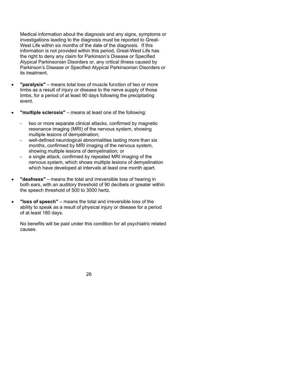Medical information about the diagnosis and any signs, symptoms or investigations leading to the diagnosis must be reported to Great-West Life within six months of the date of the diagnosis. If this information is not provided within this period, Great-West Life has the right to deny any claim for Parkinson's Disease or Specified Atypical Parkinsonian Disorders or, any critical illness caused by Parkinson's Disease or Specified Atypical Parkinsonian Disorders or its treatment.

- **"paralysis"** means total loss of muscle function of two or more limbs as a result of injury or disease to the nerve supply of those limbs, for a period of at least 90 days following the precipitating event.
- **"multiple sclerosis"** means at least one of the following:
	- two or more separate clinical attacks, confirmed by magnetic resonance imaging (MRI) of the nervous system, showing multiple lesions of demyelination;
	- well-defined neurological abnormalities lasting more than six months, confirmed by MRI imaging of the nervous system, showing multiple lesions of demyelination; or
	- a single attack, confirmed by repeated MRI imaging of the nervous system, which shows multiple lesions of demyelination which have developed at intervals at least one month apart.
- **"deafness"** means the total and irreversible loss of hearing in both ears, with an auditory threshold of 90 decibels or greater within the speech threshold of 500 to 3000 hertz.
- **"loss of speech"** means the total and irreversible loss of the ability to speak as a result of physical injury or disease for a period of at least 180 days.

No benefits will be paid under this condition for all psychiatric related causes.

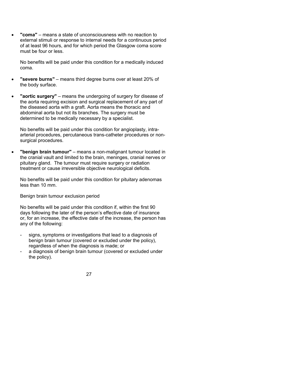**"coma"** – means a state of unconsciousness with no reaction to external stimuli or response to internal needs for a continuous period of at least 96 hours, and for which period the Glasgow coma score must be four or less.

No benefits will be paid under this condition for a medically induced coma.

- **"severe burns"** means third degree burns over at least 20% of the body surface.
- **"aortic surgery"** means the undergoing of surgery for disease of the aorta requiring excision and surgical replacement of any part of the diseased aorta with a graft. Aorta means the thoracic and abdominal aorta but not its branches. The surgery must be determined to be medically necessary by a specialist.

No benefits will be paid under this condition for angioplasty, intraarterial procedures, percutaneous trans-catheter procedures or nonsurgical procedures.

 **"benign brain tumour"** – means a non-malignant tumour located in the cranial vault and limited to the brain, meninges, cranial nerves or pituitary gland. The tumour must require surgery or radiation treatment or cause irreversible objective neurological deficits.

No benefits will be paid under this condition for pituitary adenomas less than 10 mm.

Benign brain tumour exclusion period

No benefits will be paid under this condition if, within the first 90 days following the later of the person's effective date of insurance or, for an increase, the effective date of the increase, the person has any of the following:

- signs, symptoms or investigations that lead to a diagnosis of benign brain tumour (covered or excluded under the policy), regardless of when the diagnosis is made; or
- a diagnosis of benign brain tumour (covered or excluded under the policy).

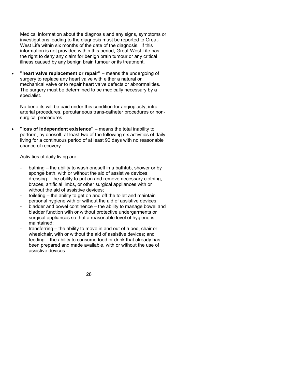Medical information about the diagnosis and any signs, symptoms or investigations leading to the diagnosis must be reported to Great-West Life within six months of the date of the diagnosis. If this information is not provided within this period, Great-West Life has the right to deny any claim for benign brain tumour or any critical illness caused by any benign brain tumour or its treatment.

**"heart valve replacement or repair"** – means the undergoing of surgery to replace any heart valve with either a natural or mechanical valve or to repair heart valve defects or abnormalities. The surgery must be determined to be medically necessary by a specialist.

No benefits will be paid under this condition for angioplasty, intraarterial procedures, percutaneous trans-catheter procedures or nonsurgical procedures

 **"loss of independent existence"** – means the total inability to perform, by oneself, at least two of the following six activities of daily living for a continuous period of at least 90 days with no reasonable chance of recovery.

Activities of daily living are:

- bathing the ability to wash oneself in a bathtub, shower or by sponge bath, with or without the aid of assistive devices;
- dressing the ability to put on and remove necessary clothing, braces, artificial limbs, or other surgical appliances with or without the aid of assistive devices;
- toileting the ability to get on and off the toilet and maintain personal hygiene with or without the aid of assistive devices;
- bladder and bowel continence the ability to manage bowel and bladder function with or without protective undergarments or surgical appliances so that a reasonable level of hygiene is maintained;
- transferring the ability to move in and out of a bed, chair or wheelchair, with or without the aid of assistive devices; and
- feeding the ability to consume food or drink that already has been prepared and made available, with or without the use of assistive devices.

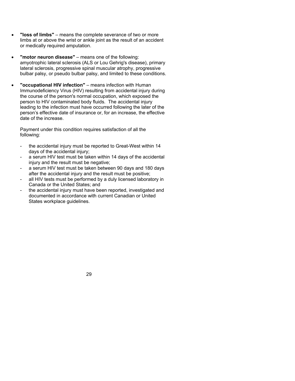- **"loss of limbs"** means the complete severance of two or more limbs at or above the wrist or ankle joint as the result of an accident or medically required amputation.
- **"motor neuron disease"** means one of the following: amyotrophic lateral sclerosis (ALS or Lou Gehrig's disease), primary lateral sclerosis, progressive spinal muscular atrophy, progressive bulbar palsy, or pseudo bulbar palsy, and limited to these conditions.
- **"occupational HIV infection"** means infection with Human Immunodeficiency Virus (HIV) resulting from accidental injury during the course of the person's normal occupation, which exposed the person to HIV contaminated body fluids. The accidental injury leading to the infection must have occurred following the later of the person's effective date of insurance or, for an increase, the effective date of the increase.

Payment under this condition requires satisfaction of all the following:

- the accidental injury must be reported to Great-West within 14 days of the accidental injury;
- a serum HIV test must be taken within 14 days of the accidental injury and the result must be negative;
- a serum HIV test must be taken between 90 days and 180 days after the accidental injury and the result must be positive;
- all HIV tests must be performed by a duly licensed laboratory in Canada or the United States; and
- the accidental injury must have been reported, investigated and documented in accordance with current Canadian or United States workplace guidelines.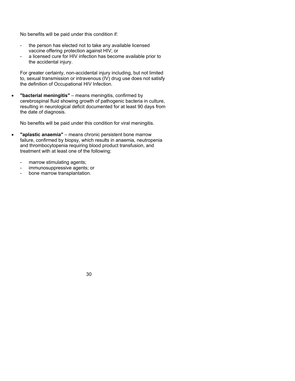No benefits will be paid under this condition if:

- the person has elected not to take any available licensed vaccine offering protection against HIV; or
- a licensed cure for HIV infection has become available prior to the accidental injury.

For greater certainty, non-accidental injury including, but not limited to, sexual transmission or intravenous (IV) drug use does not satisfy the definition of Occupational HIV Infection.

 **"bacterial meningitis"** – means meningitis, confirmed by cerebrospinal fluid showing growth of pathogenic bacteria in culture, resulting in neurological deficit documented for at least 90 days from the date of diagnosis.

No benefits will be paid under this condition for viral meningitis.

- **"aplastic anaemia"** means chronic persistent bone marrow failure, confirmed by biopsy, which results in anaemia, neutropenia and thrombocytopenia requiring blood product transfusion, and treatment with at least one of the following:
	- marrow stimulating agents;
	- immunosuppressive agents; or
	- bone marrow transplantation.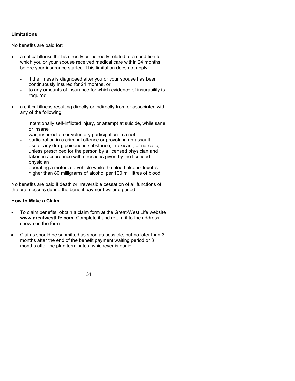# **Limitations**

No benefits are paid for:

- a critical illness that is directly or indirectly related to a condition for which you or your spouse received medical care within 24 months before your insurance started. This limitation does not apply:
	- if the illness is diagnosed after you or your spouse has been continuously insured for 24 months, or
	- to any amounts of insurance for which evidence of insurability is required.
- a critical illness resulting directly or indirectly from or associated with any of the following:
	- intentionally self-inflicted injury, or attempt at suicide, while sane or insane
	- war, insurrection or voluntary participation in a riot
	- participation in a criminal offence or provoking an assault
	- use of any drug, poisonous substance, intoxicant, or narcotic, unless prescribed for the person by a licensed physician and taken in accordance with directions given by the licensed physician
	- operating a motorized vehicle while the blood alcohol level is higher than 80 milligrams of alcohol per 100 millilitres of blood.

No benefits are paid if death or irreversible cessation of all functions of the brain occurs during the benefit payment waiting period.

### **How to Make a Claim**

- To claim benefits, obtain a claim form at the Great-West Life website **www.greatwestlife.com**. Complete it and return it to the address shown on the form.
- Claims should be submitted as soon as possible, but no later than 3 months after the end of the benefit payment waiting period or 3 months after the plan terminates, whichever is earlier.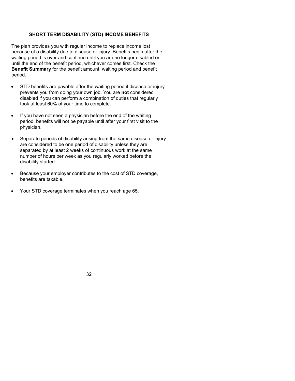### **SHORT TERM DISABILITY (STD) INCOME BENEFITS**

The plan provides you with regular income to replace income lost because of a disability due to disease or injury. Benefits begin after the waiting period is over and continue until you are no longer disabled or until the end of the benefit period, whichever comes first. Check the **Benefit Summary** for the benefit amount, waiting period and benefit period.

- STD benefits are payable after the waiting period if disease or injury prevents you from doing your own job. You are **not** considered disabled if you can perform a combination of duties that regularly took at least 60% of your time to complete.
- If you have not seen a physician before the end of the waiting period, benefits will not be payable until after your first visit to the physician.
- Separate periods of disability arising from the same disease or injury are considered to be one period of disability unless they are separated by at least 2 weeks of continuous work at the same number of hours per week as you regularly worked before the disability started.
- Because your employer contributes to the cost of STD coverage, benefits are taxable.
- Your STD coverage terminates when you reach age 65.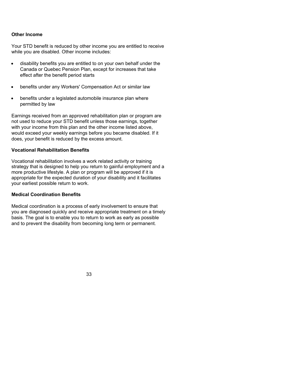### **Other Income**

Your STD benefit is reduced by other income you are entitled to receive while you are disabled. Other income includes:

- disability benefits you are entitled to on your own behalf under the Canada or Quebec Pension Plan, except for increases that take effect after the benefit period starts
- benefits under any Workers' Compensation Act or similar law
- benefits under a legislated automobile insurance plan where permitted by law

Earnings received from an approved rehabilitation plan or program are not used to reduce your STD benefit unless those earnings, together with your income from this plan and the other income listed above, would exceed your weekly earnings before you became disabled. If it does, your benefit is reduced by the excess amount.

#### **Vocational Rehabilitation Benefits**

Vocational rehabilitation involves a work related activity or training strategy that is designed to help you return to gainful employment and a more productive lifestyle. A plan or program will be approved if it is appropriate for the expected duration of your disability and it facilitates your earliest possible return to work.

### **Medical Coordination Benefits**

Medical coordination is a process of early involvement to ensure that you are diagnosed quickly and receive appropriate treatment on a timely basis. The goal is to enable you to return to work as early as possible and to prevent the disability from becoming long term or permanent.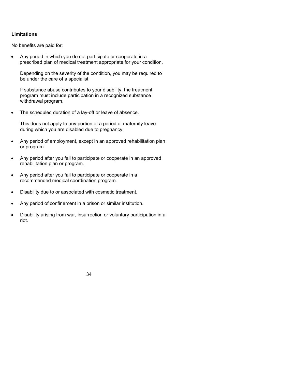# **Limitations**

No benefits are paid for:

 Any period in which you do not participate or cooperate in a prescribed plan of medical treatment appropriate for your condition.

Depending on the severity of the condition, you may be required to be under the care of a specialist.

If substance abuse contributes to your disability, the treatment program must include participation in a recognized substance withdrawal program.

• The scheduled duration of a lay-off or leave of absence.

This does not apply to any portion of a period of maternity leave during which you are disabled due to pregnancy.

- Any period of employment, except in an approved rehabilitation plan or program.
- Any period after you fail to participate or cooperate in an approved rehabilitation plan or program.
- Any period after you fail to participate or cooperate in a recommended medical coordination program.
- Disability due to or associated with cosmetic treatment.
- Any period of confinement in a prison or similar institution.
- Disability arising from war, insurrection or voluntary participation in a riot.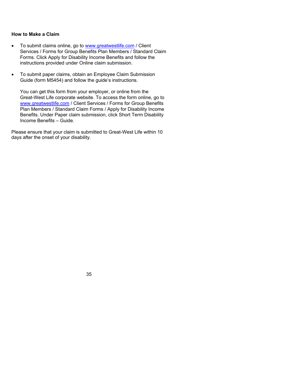# **How to Make a Claim**

- To submit claims online, go to www.greatwestlife.com / Client Services / Forms for Group Benefits Plan Members / Standard Claim Forms. Click Apply for Disability Income Benefits and follow the instructions provided under Online claim submission.
- To submit paper claims, obtain an Employee Claim Submission Guide (form M5454) and follow the guide's instructions.

You can get this form from your employer, or online from the Great-West Life corporate website. To access the form online, go to www.greatwestlife.com / Client Services / Forms for Group Benefits Plan Members / Standard Claim Forms / Apply for Disability Income Benefits. Under Paper claim submission, click Short Term Disability Income Benefits – Guide.

Please ensure that your claim is submitted to Great-West Life within 10 days after the onset of your disability.

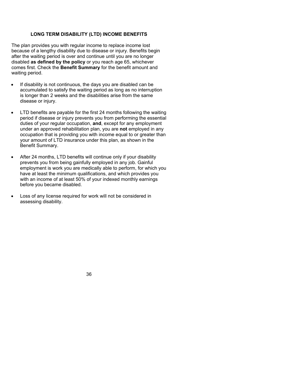### **LONG TERM DISABILITY (LTD) INCOME BENEFITS**

The plan provides you with regular income to replace income lost because of a lengthy disability due to disease or injury. Benefits begin after the waiting period is over and continue until you are no longer disabled **as defined by the policy** or you reach age 65, whichever comes first. Check the **Benefit Summary** for the benefit amount and waiting period.

- If disability is not continuous, the days you are disabled can be accumulated to satisfy the waiting period as long as no interruption is longer than 2 weeks and the disabilities arise from the same disease or injury.
- LTD benefits are payable for the first 24 months following the waiting period if disease or injury prevents you from performing the essential duties of your regular occupation, **and**, except for any employment under an approved rehabilitation plan, you are **not** employed in any occupation that is providing you with income equal to or greater than your amount of LTD insurance under this plan, as shown in the Benefit Summary.
- After 24 months, LTD benefits will continue only if your disability prevents you from being gainfully employed in any job. Gainful employment is work you are medically able to perform, for which you have at least the minimum qualifications, and which provides you with an income of at least 50% of your indexed monthly earnings before you became disabled.
- Loss of any license required for work will not be considered in assessing disability.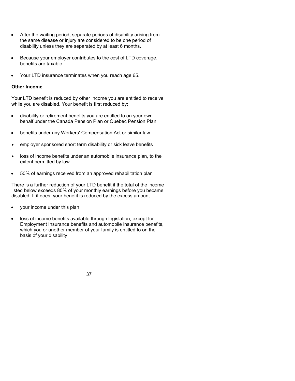- After the waiting period, separate periods of disability arising from the same disease or injury are considered to be one period of disability unless they are separated by at least 6 months.
- Because your employer contributes to the cost of LTD coverage, benefits are taxable.
- Your LTD insurance terminates when you reach age 65.

### **Other Income**

Your LTD benefit is reduced by other income you are entitled to receive while you are disabled. Your benefit is first reduced by:

- disability or retirement benefits you are entitled to on your own behalf under the Canada Pension Plan or Quebec Pension Plan
- benefits under any Workers' Compensation Act or similar law
- employer sponsored short term disability or sick leave benefits
- loss of income benefits under an automobile insurance plan, to the extent permitted by law
- 50% of earnings received from an approved rehabilitation plan

There is a further reduction of your LTD benefit if the total of the income listed below exceeds 80% of your monthly earnings before you became disabled. If it does, your benefit is reduced by the excess amount.

- your income under this plan
- loss of income benefits available through legislation, except for Employment Insurance benefits and automobile insurance benefits, which you or another member of your family is entitled to on the basis of your disability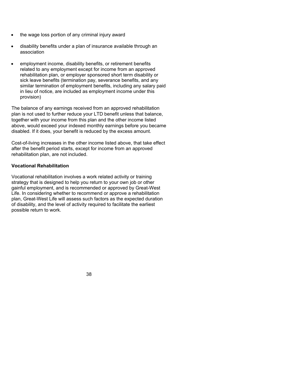- the wage loss portion of any criminal injury award
- disability benefits under a plan of insurance available through an association
- employment income, disability benefits, or retirement benefits related to any employment except for income from an approved rehabilitation plan, or employer sponsored short term disability or sick leave benefits (termination pay, severance benefits, and any similar termination of employment benefits, including any salary paid in lieu of notice, are included as employment income under this provision)

The balance of any earnings received from an approved rehabilitation plan is not used to further reduce your LTD benefit unless that balance, together with your income from this plan and the other income listed above, would exceed your indexed monthly earnings before you became disabled. If it does, your benefit is reduced by the excess amount.

Cost-of-living increases in the other income listed above, that take effect after the benefit period starts, except for income from an approved rehabilitation plan, are not included.

# **Vocational Rehabilitation**

Vocational rehabilitation involves a work related activity or training strategy that is designed to help you return to your own job or other gainful employment, and is recommended or approved by Great-West Life. In considering whether to recommend or approve a rehabilitation plan, Great-West Life will assess such factors as the expected duration of disability, and the level of activity required to facilitate the earliest possible return to work.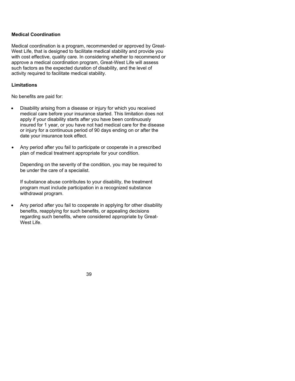# **Medical Coordination**

Medical coordination is a program, recommended or approved by Great-West Life, that is designed to facilitate medical stability and provide you with cost effective, quality care. In considering whether to recommend or approve a medical coordination program, Great-West Life will assess such factors as the expected duration of disability, and the level of activity required to facilitate medical stability.

# **Limitations**

No benefits are paid for:

- Disability arising from a disease or injury for which you received medical care before your insurance started. This limitation does not apply if your disability starts after you have been continuously insured for 1 year, or you have not had medical care for the disease or injury for a continuous period of 90 days ending on or after the date your insurance took effect.
- Any period after you fail to participate or cooperate in a prescribed plan of medical treatment appropriate for your condition.

Depending on the severity of the condition, you may be required to be under the care of a specialist.

If substance abuse contributes to your disability, the treatment program must include participation in a recognized substance withdrawal program.

 Any period after you fail to cooperate in applying for other disability benefits, reapplying for such benefits, or appealing decisions regarding such benefits, where considered appropriate by Great-West Life.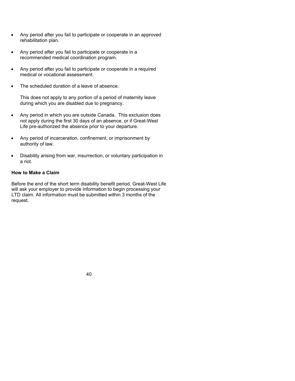- Any period after you fail to participate or cooperate in an approved rehabilitation plan.
- Any period after you fail to participate or cooperate in a recommended medical coordination program.
- Any period after you fail to participate or cooperate in a required medical or vocational assessment.
- The scheduled duration of a leave of absence.

This does not apply to any portion of a period of maternity leave during which you are disabled due to pregnancy.

- Any period in which you are outside Canada. This exclusion does not apply during the first 30 days of an absence, or if Great-West Life pre-authorized the absence prior to your departure.
- Any period of incarceration, confinement, or imprisonment by authority of law.
- Disability arising from war, insurrection, or voluntary participation in a riot.

# **How to Make a Claim**

Before the end of the short term disability benefit period, Great-West Life will ask your employer to provide information to begin processing your LTD claim. All information must be submitted within 3 months of the request.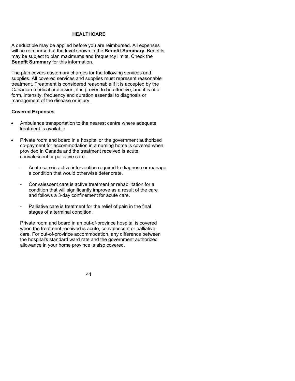# **HEALTHCARE**

A deductible may be applied before you are reimbursed. All expenses will be reimbursed at the level shown in the **Benefit Summary**. Benefits may be subject to plan maximums and frequency limits. Check the **Benefit Summary** for this information.

The plan covers customary charges for the following services and supplies. All covered services and supplies must represent reasonable treatment. Treatment is considered reasonable if it is accepted by the Canadian medical profession, it is proven to be effective, and it is of a form, intensity, frequency and duration essential to diagnosis or management of the disease or injury.

#### **Covered Expenses**

- Ambulance transportation to the nearest centre where adequate treatment is available
- Private room and board in a hospital or the government authorized co-payment for accommodation in a nursing home is covered when provided in Canada and the treatment received is acute, convalescent or palliative care.
	- Acute care is active intervention required to diagnose or manage a condition that would otherwise deteriorate.
	- Convalescent care is active treatment or rehabilitation for a condition that will significantly improve as a result of the care and follows a 3-day confinement for acute care.
	- Palliative care is treatment for the relief of pain in the final stages of a terminal condition.

Private room and board in an out-of-province hospital is covered when the treatment received is acute, convalescent or palliative care. For out-of-province accommodation, any difference between the hospital's standard ward rate and the government authorized allowance in your home province is also covered.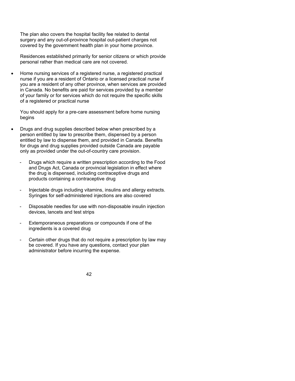The plan also covers the hospital facility fee related to dental surgery and any out-of-province hospital out-patient charges not covered by the government health plan in your home province.

Residences established primarily for senior citizens or which provide personal rather than medical care are not covered.

 Home nursing services of a registered nurse, a registered practical nurse if you are a resident of Ontario or a licensed practical nurse if you are a resident of any other province, when services are provided in Canada. No benefits are paid for services provided by a member of your family or for services which do not require the specific skills of a registered or practical nurse

You should apply for a pre-care assessment before home nursing begins

- Drugs and drug supplies described below when prescribed by a person entitled by law to prescribe them, dispensed by a person entitled by law to dispense them, and provided in Canada. Benefits for drugs and drug supplies provided outside Canada are payable only as provided under the out-of-country care provision.
	- Drugs which require a written prescription according to the Food and Drugs Act, Canada or provincial legislation in effect where the drug is dispensed, including contraceptive drugs and products containing a contraceptive drug
	- Injectable drugs including vitamins, insulins and allergy extracts. Syringes for self-administered injections are also covered
	- Disposable needles for use with non-disposable insulin injection devices, lancets and test strips
	- Extemporaneous preparations or compounds if one of the ingredients is a covered drug
	- Certain other drugs that do not require a prescription by law may be covered. If you have any questions, contact your plan administrator before incurring the expense.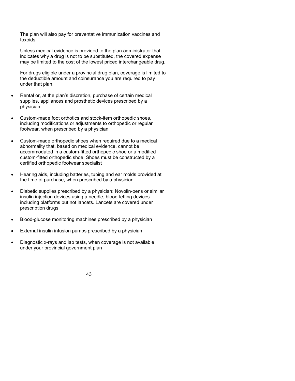The plan will also pay for preventative immunization vaccines and toxoids.

Unless medical evidence is provided to the plan administrator that indicates why a drug is not to be substituted, the covered expense may be limited to the cost of the lowest priced interchangeable drug.

For drugs eligible under a provincial drug plan, coverage is limited to the deductible amount and coinsurance you are required to pay under that plan.

- Rental or, at the plan's discretion, purchase of certain medical supplies, appliances and prosthetic devices prescribed by a physician
- Custom-made foot orthotics and stock-item orthopedic shoes, including modifications or adjustments to orthopedic or regular footwear, when prescribed by a physician
- Custom-made orthopedic shoes when required due to a medical abnormality that, based on medical evidence, cannot be accommodated in a custom-fitted orthopedic shoe or a modified custom-fitted orthopedic shoe. Shoes must be constructed by a certified orthopedic footwear specialist
- Hearing aids, including batteries, tubing and ear molds provided at the time of purchase, when prescribed by a physician
- Diabetic supplies prescribed by a physician: Novolin-pens or similar insulin injection devices using a needle, blood-letting devices including platforms but not lancets. Lancets are covered under prescription drugs
- Blood-glucose monitoring machines prescribed by a physician
- External insulin infusion pumps prescribed by a physician
- Diagnostic x-rays and lab tests, when coverage is not available under your provincial government plan

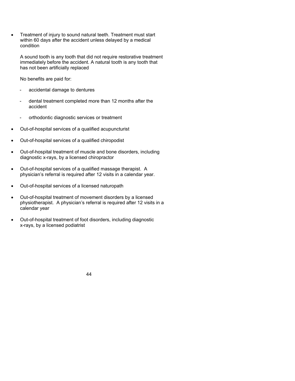Treatment of injury to sound natural teeth. Treatment must start within 60 days after the accident unless delayed by a medical condition

A sound tooth is any tooth that did not require restorative treatment immediately before the accident. A natural tooth is any tooth that has not been artificially replaced

No benefits are paid for:

- accidental damage to dentures
- dental treatment completed more than 12 months after the accident
- orthodontic diagnostic services or treatment
- Out-of-hospital services of a qualified acupuncturist
- Out-of-hospital services of a qualified chiropodist
- Out-of-hospital treatment of muscle and bone disorders, including diagnostic x-rays, by a licensed chiropractor
- Out-of-hospital services of a qualified massage therapist. A physician's referral is required after 12 visits in a calendar year.
- Out-of-hospital services of a licensed naturopath
- Out-of-hospital treatment of movement disorders by a licensed physiotherapist. A physician's referral is required after 12 visits in a calendar year
- Out-of-hospital treatment of foot disorders, including diagnostic x-rays, by a licensed podiatrist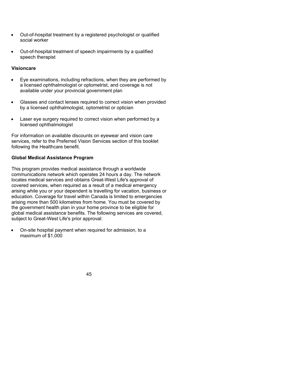- Out-of-hospital treatment by a registered psychologist or qualified social worker
- Out-of-hospital treatment of speech impairments by a qualified speech therapist

## **Visioncare**

- Eye examinations, including refractions, when they are performed by a licensed ophthalmologist or optometrist, and coverage is not available under your provincial government plan
- Glasses and contact lenses required to correct vision when provided by a licensed ophthalmologist, optometrist or optician
- Laser eye surgery required to correct vision when performed by a licensed ophthalmologist

For information on available discounts on eyewear and vision care services, refer to the Preferred Vision Services section of this booklet following the Healthcare benefit.

# **Global Medical Assistance Program**

This program provides medical assistance through a worldwide communications network which operates 24 hours a day. The network locates medical services and obtains Great-West Life's approval of covered services, when required as a result of a medical emergency arising while you or your dependent is travelling for vacation, business or education. Coverage for travel within Canada is limited to emergencies arising more than 500 kilometres from home. You must be covered by the government health plan in your home province to be eligible for global medical assistance benefits. The following services are covered, subject to Great-West Life's prior approval:

 On-site hospital payment when required for admission, to a maximum of \$1,000

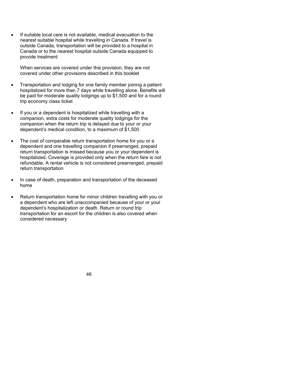If suitable local care is not available, medical evacuation to the nearest suitable hospital while travelling in Canada. If travel is outside Canada, transportation will be provided to a hospital in Canada or to the nearest hospital outside Canada equipped to provide treatment

When services are covered under this provision, they are not covered under other provisions described in this booklet

- Transportation and lodging for one family member joining a patient hospitalized for more than 7 days while travelling alone. Benefits will be paid for moderate quality lodgings up to \$1,500 and for a round trip economy class ticket
- If you or a dependent is hospitalized while travelling with a companion, extra costs for moderate quality lodgings for the companion when the return trip is delayed due to your or your dependent's medical condition, to a maximum of \$1,500
- The cost of comparable return transportation home for you or a dependent and one travelling companion if prearranged, prepaid return transportation is missed because you or your dependent is hospitalized. Coverage is provided only when the return fare is not refundable. A rental vehicle is not considered prearranged, prepaid return transportation
- In case of death, preparation and transportation of the deceased home
- Return transportation home for minor children travelling with you or a dependent who are left unaccompanied because of your or your dependent's hospitalization or death. Return or round trip transportation for an escort for the children is also covered when considered necessary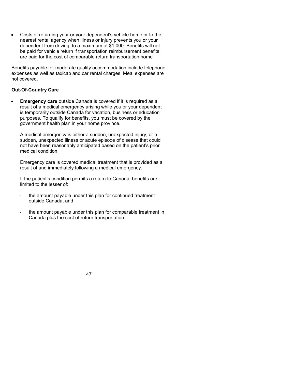Costs of returning your or your dependent's vehicle home or to the nearest rental agency when illness or injury prevents you or your dependent from driving, to a maximum of \$1,000. Benefits will not be paid for vehicle return if transportation reimbursement benefits are paid for the cost of comparable return transportation home

Benefits payable for moderate quality accommodation include telephone expenses as well as taxicab and car rental charges. Meal expenses are not covered.

# **Out-Of-Country Care**

 **Emergency care** outside Canada is covered if it is required as a result of a medical emergency arising while you or your dependent is temporarily outside Canada for vacation, business or education purposes. To qualify for benefits, you must be covered by the government health plan in your home province.

A medical emergency is either a sudden, unexpected injury, or a sudden, unexpected illness or acute episode of disease that could not have been reasonably anticipated based on the patient's prior medical condition.

Emergency care is covered medical treatment that is provided as a result of and immediately following a medical emergency.

If the patient's condition permits a return to Canada, benefits are limited to the lesser of:

- the amount payable under this plan for continued treatment outside Canada, and
- the amount payable under this plan for comparable treatment in Canada plus the cost of return transportation.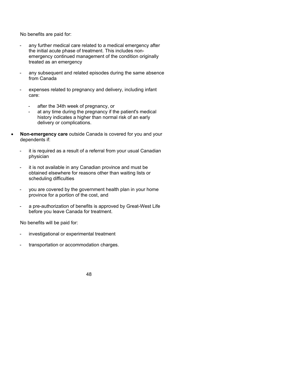No benefits are paid for:

- any further medical care related to a medical emergency after the initial acute phase of treatment. This includes nonemergency continued management of the condition originally treated as an emergency
- any subsequent and related episodes during the same absence from Canada
- expenses related to pregnancy and delivery, including infant care:
	- after the 34th week of pregnancy, or
	- at any time during the pregnancy if the patient's medical history indicates a higher than normal risk of an early delivery or complications.
- **Non-emergency care** outside Canada is covered for you and your dependents if:
	- it is required as a result of a referral from your usual Canadian physician
	- it is not available in any Canadian province and must be obtained elsewhere for reasons other than waiting lists or scheduling difficulties
	- you are covered by the government health plan in your home province for a portion of the cost, and
	- a pre-authorization of benefits is approved by Great-West Life before you leave Canada for treatment.

No benefits will be paid for:

- investigational or experimental treatment
- transportation or accommodation charges.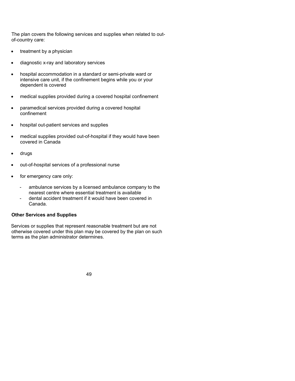The plan covers the following services and supplies when related to outof-country care:

- treatment by a physician
- diagnostic x-ray and laboratory services
- hospital accommodation in a standard or semi-private ward or intensive care unit, if the confinement begins while you or your dependent is covered
- medical supplies provided during a covered hospital confinement
- paramedical services provided during a covered hospital confinement
- hospital out-patient services and supplies
- medical supplies provided out-of-hospital if they would have been covered in Canada
- drugs
- out-of-hospital services of a professional nurse
- for emergency care only:
	- ambulance services by a licensed ambulance company to the nearest centre where essential treatment is available
	- dental accident treatment if it would have been covered in Canada.

### **Other Services and Supplies**

Services or supplies that represent reasonable treatment but are not otherwise covered under this plan may be covered by the plan on such terms as the plan administrator determines.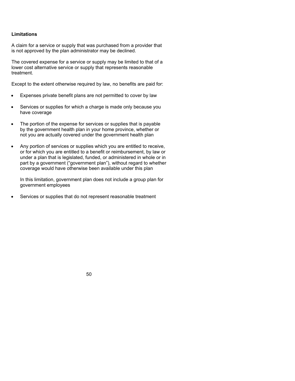# **Limitations**

A claim for a service or supply that was purchased from a provider that is not approved by the plan administrator may be declined.

The covered expense for a service or supply may be limited to that of a lower cost alternative service or supply that represents reasonable treatment.

Except to the extent otherwise required by law, no benefits are paid for:

- Expenses private benefit plans are not permitted to cover by law
- Services or supplies for which a charge is made only because you have coverage
- The portion of the expense for services or supplies that is payable by the government health plan in your home province, whether or not you are actually covered under the government health plan
- Any portion of services or supplies which you are entitled to receive, or for which you are entitled to a benefit or reimbursement, by law or under a plan that is legislated, funded, or administered in whole or in part by a government ("government plan"), without regard to whether coverage would have otherwise been available under this plan

In this limitation, government plan does not include a group plan for government employees

Services or supplies that do not represent reasonable treatment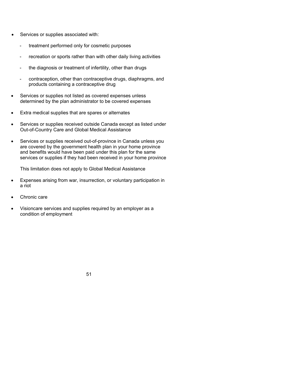- Services or supplies associated with:
	- treatment performed only for cosmetic purposes
	- recreation or sports rather than with other daily living activities
	- the diagnosis or treatment of infertility, other than drugs
	- contraception, other than contraceptive drugs, diaphragms, and products containing a contraceptive drug
- Services or supplies not listed as covered expenses unless determined by the plan administrator to be covered expenses
- Extra medical supplies that are spares or alternates
- Services or supplies received outside Canada except as listed under Out-of-Country Care and Global Medical Assistance
- Services or supplies received out-of-province in Canada unless you are covered by the government health plan in your home province and benefits would have been paid under this plan for the same services or supplies if they had been received in your home province

This limitation does not apply to Global Medical Assistance

- Expenses arising from war, insurrection, or voluntary participation in a riot
- Chronic care
- Visioncare services and supplies required by an employer as a condition of employment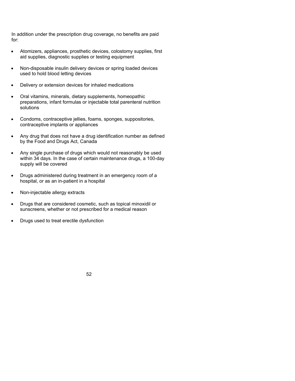In addition under the prescription drug coverage, no benefits are paid for:

- Atomizers, appliances, prosthetic devices, colostomy supplies, first aid supplies, diagnostic supplies or testing equipment
- Non-disposable insulin delivery devices or spring loaded devices used to hold blood letting devices
- Delivery or extension devices for inhaled medications
- Oral vitamins, minerals, dietary supplements, homeopathic preparations, infant formulas or injectable total parenteral nutrition solutions
- Condoms, contraceptive jellies, foams, sponges, suppositories, contraceptive implants or appliances
- Any drug that does not have a drug identification number as defined by the Food and Drugs Act, Canada
- Any single purchase of drugs which would not reasonably be used within 34 days. In the case of certain maintenance drugs, a 100-day supply will be covered
- Drugs administered during treatment in an emergency room of a hospital, or as an in-patient in a hospital
- Non-injectable allergy extracts
- Drugs that are considered cosmetic, such as topical minoxidil or sunscreens, whether or not prescribed for a medical reason
- Drugs used to treat erectile dysfunction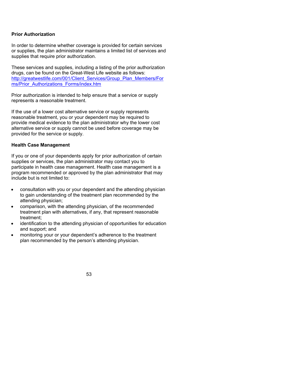### **Prior Authorization**

In order to determine whether coverage is provided for certain services or supplies, the plan administrator maintains a limited list of services and supplies that require prior authorization.

These services and supplies, including a listing of the prior authorization drugs, can be found on the Great-West Life website as follows: http://greatwestlife.com/001/Client\_Services/Group\_Plan\_Members/For ms/Prior\_Authorizations\_Forms/index.htm

Prior authorization is intended to help ensure that a service or supply represents a reasonable treatment.

If the use of a lower cost alternative service or supply represents reasonable treatment, you or your dependent may be required to provide medical evidence to the plan administrator why the lower cost alternative service or supply cannot be used before coverage may be provided for the service or supply.

#### **Health Case Management**

If you or one of your dependents apply for prior authorization of certain supplies or services, the plan administrator may contact you to participate in health case management. Health case management is a program recommended or approved by the plan administrator that may include but is not limited to:

- consultation with you or your dependent and the attending physician to gain understanding of the treatment plan recommended by the attending physician;
- comparison, with the attending physician, of the recommended treatment plan with alternatives, if any, that represent reasonable treatment;
- identification to the attending physician of opportunities for education and support; and
- monitoring your or your dependent's adherence to the treatment plan recommended by the person's attending physician.

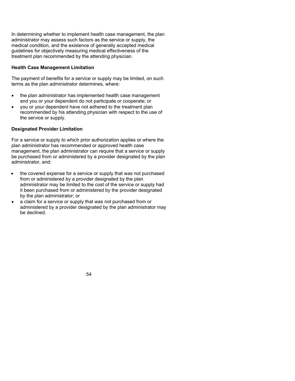In determining whether to implement health case management, the plan administrator may assess such factors as the service or supply, the medical condition, and the existence of generally accepted medical guidelines for objectively measuring medical effectiveness of the treatment plan recommended by the attending physician.

# **Health Case Management Limitation**

The payment of benefits for a service or supply may be limited, on such terms as the plan administrator determines, where:

- the plan administrator has implemented health case management and you or your dependent do not participate or cooperate; or
- you or your dependent have not adhered to the treatment plan recommended by his attending physician with respect to the use of the service or supply.

# **Designated Provider Limitation**

For a service or supply to which prior authorization applies or where the plan administrator has recommended or approved health case management, the plan administrator can require that a service or supply be purchased from or administered by a provider designated by the plan administrator, and:

- the covered expense for a service or supply that was not purchased from or administered by a provider designated by the plan administrator may be limited to the cost of the service or supply had it been purchased from or administered by the provider designated by the plan administrator; or
- a claim for a service or supply that was not purchased from or administered by a provider designated by the plan administrator may be declined.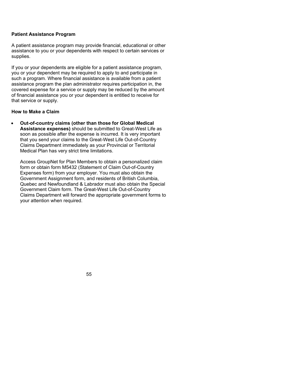### **Patient Assistance Program**

A patient assistance program may provide financial, educational or other assistance to you or your dependents with respect to certain services or supplies.

If you or your dependents are eligible for a patient assistance program, you or your dependent may be required to apply to and participate in such a program. Where financial assistance is available from a patient assistance program the plan administrator requires participation in, the covered expense for a service or supply may be reduced by the amount of financial assistance you or your dependent is entitled to receive for that service or supply.

# **How to Make a Claim**

 **Out-of-country claims (other than those for Global Medical Assistance expenses)** should be submitted to Great-West Life as soon as possible after the expense is incurred. It is very important that you send your claims to the Great-West Life Out-of-Country Claims Department immediately as your Provincial or Territorial Medical Plan has very strict time limitations.

Access GroupNet for Plan Members to obtain a personalized claim form or obtain form M5432 (Statement of Claim Out-of-Country Expenses form) from your employer. You must also obtain the Government Assignment form, and residents of British Columbia, Quebec and Newfoundland & Labrador must also obtain the Special Government Claim form. The Great-West Life Out-of-Country Claims Department will forward the appropriate government forms to your attention when required.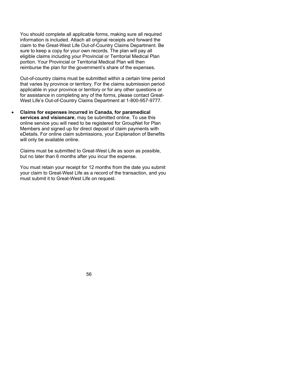You should complete all applicable forms, making sure all required information is included. Attach all original receipts and forward the claim to the Great-West Life Out-of-Country Claims Department. Be sure to keep a copy for your own records. The plan will pay all eligible claims including your Provincial or Territorial Medical Plan portion. Your Provincial or Territorial Medical Plan will then reimburse the plan for the government's share of the expenses.

Out-of-country claims must be submitted within a certain time period that varies by province or territory. For the claims submission period applicable in your province or territory or for any other questions or for assistance in completing any of the forms, please contact Great-West Life's Out-of-Country Claims Department at 1-800-957-9777.

 **Claims for expenses incurred in Canada, for paramedical services and visioncare**, may be submitted online. To use this online service you will need to be registered for GroupNet for Plan Members and signed up for direct deposit of claim payments with eDetails. For online claim submissions, your Explanation of Benefits will only be available online.

Claims must be submitted to Great-West Life as soon as possible, but no later than 6 months after you incur the expense.

You must retain your receipt for 12 months from the date you submit your claim to Great-West Life as a record of the transaction, and you must submit it to Great-West Life on request.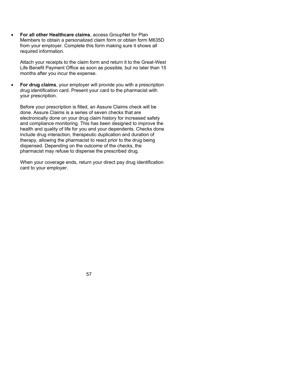**For all other Healthcare claims**, access GroupNet for Plan Members to obtain a personalized claim form or obtain form M635D from your employer. Complete this form making sure it shows all required information.

Attach your receipts to the claim form and return it to the Great-West Life Benefit Payment Office as soon as possible, but no later than 15 months after you incur the expense.

 **For drug claims**, your employer will provide you with a prescription drug identification card. Present your card to the pharmacist with your prescription.

Before your prescription is filled, an Assure Claims check will be done. Assure Claims is a series of seven checks that are electronically done on your drug claim history for increased safety and compliance monitoring. This has been designed to improve the health and quality of life for you and your dependents. Checks done include drug interaction, therapeutic duplication and duration of therapy, allowing the pharmacist to react prior to the drug being dispensed. Depending on the outcome of the checks, the pharmacist may refuse to dispense the prescribed drug.

When your coverage ends, return your direct pay drug identification card to your employer.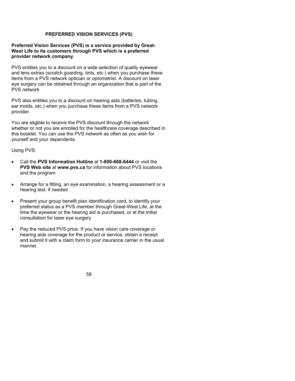### **PREFERRED VISION SERVICES (PVS)**

### **Preferred Vision Services (PVS) is a service provided by Great-West Life to its customers through PVS which is a preferred provider network company.**

PVS entitles you to a discount on a wide selection of quality eyewear and lens extras (scratch guarding, tints, etc.) when you purchase these items from a PVS network optician or optometrist. A discount on laser eye surgery can be obtained through an organization that is part of the PVS network.

PVS also entitles you to a discount on hearing aids (batteries, tubing, ear molds, etc.) when you purchase these items from a PVS network provider.

You are eligible to receive the PVS discount through the network whether or not you are enrolled for the healthcare coverage described in this booklet. You can use the PVS network as often as you wish for yourself and your dependents.

Using PVS:

- Call the **PVS Information Hotline** at **1-800-668-6444** or visit the **PVS Web site** at **www.pvs.ca** for information about PVS locations and the program
- Arrange for a fitting, an eye examination, a hearing assessment or a hearing test, if needed
- Present your group benefit plan identification card, to identify your preferred status as a PVS member through Great-West Life, at the time the eyewear or the hearing aid is purchased, or at the initial consultation for laser eye surgery
- Pay the reduced PVS price. If you have vision care coverage or hearing aids coverage for the product or service, obtain a receipt and submit it with a claim form to your insurance carrier in the usual manner.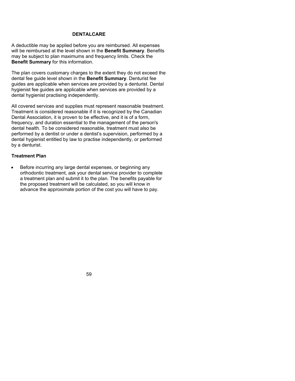# **DENTALCARE**

A deductible may be applied before you are reimbursed. All expenses will be reimbursed at the level shown in the **Benefit Summary**. Benefits may be subject to plan maximums and frequency limits. Check the **Benefit Summary** for this information.

The plan covers customary charges to the extent they do not exceed the dental fee guide level shown in the **Benefit Summary**. Denturist fee guides are applicable when services are provided by a denturist. Dental hygienist fee guides are applicable when services are provided by a dental hygienist practising independently.

All covered services and supplies must represent reasonable treatment. Treatment is considered reasonable if it is recognized by the Canadian Dental Association, it is proven to be effective, and it is of a form, frequency, and duration essential to the management of the person's dental health. To be considered reasonable, treatment must also be performed by a dentist or under a dentist's supervision, performed by a dental hygienist entitled by law to practise independently, or performed by a denturist.

# **Treatment Plan**

 Before incurring any large dental expenses, or beginning any orthodontic treatment, ask your dental service provider to complete a treatment plan and submit it to the plan. The benefits payable for the proposed treatment will be calculated, so you will know in advance the approximate portion of the cost you will have to pay.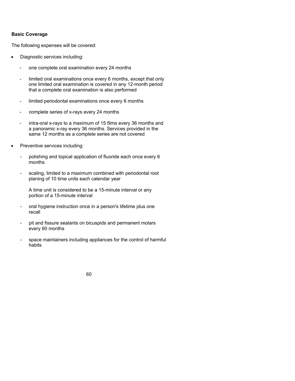### **Basic Coverage**

The following expenses will be covered:

- Diagnostic services including:
	- one complete oral examination every 24 months
	- limited oral examinations once every 6 months, except that only one limited oral examination is covered in any 12-month period that a complete oral examination is also performed
	- limited periodontal examinations once every 6 months
	- complete series of x-rays every 24 months
	- intra-oral x-rays to a maximum of 15 films every 36 months and a panoramic x-ray every 36 months. Services provided in the same 12 months as a complete series are not covered
- Preventive services including:
	- polishing and topical application of fluoride each once every 6 months
	- scaling, limited to a maximum combined with periodontal root planing of 10 time units each calendar year

A time unit is considered to be a 15-minute interval or any portion of a 15-minute interval

- oral hygiene instruction once in a person's lifetime plus one recall
- pit and fissure sealants on bicuspids and permanent molars every 60 months
- space maintainers including appliances for the control of harmful habits

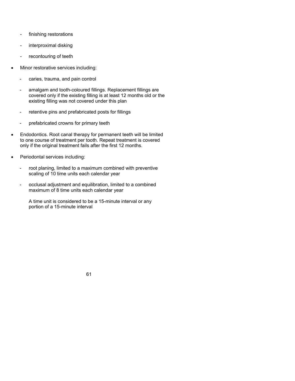- finishing restorations
- interproximal disking
- recontouring of teeth
- Minor restorative services including:
	- caries, trauma, and pain control
	- amalgam and tooth-coloured fillings. Replacement fillings are covered only if the existing filling is at least 12 months old or the existing filling was not covered under this plan
	- retentive pins and prefabricated posts for fillings
	- prefabricated crowns for primary teeth
- Endodontics. Root canal therapy for permanent teeth will be limited to one course of treatment per tooth. Repeat treatment is covered only if the original treatment fails after the first 12 months.
- Periodontal services including:
	- root planing, limited to a maximum combined with preventive scaling of 10 time units each calendar year
	- occlusal adjustment and equilibration, limited to a combined maximum of 8 time units each calendar year

A time unit is considered to be a 15-minute interval or any portion of a 15-minute interval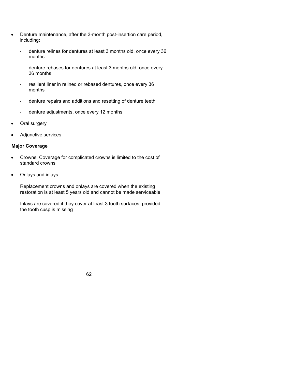- Denture maintenance, after the 3-month post-insertion care period, including:
	- denture relines for dentures at least 3 months old, once every 36 months
	- denture rebases for dentures at least 3 months old, once every 36 months
	- resilient liner in relined or rebased dentures, once every 36 months
	- denture repairs and additions and resetting of denture teeth
	- denture adjustments, once every 12 months
- Oral surgery
- Adjunctive services

### **Major Coverage**

- Crowns. Coverage for complicated crowns is limited to the cost of standard crowns
- Onlays and inlays

Replacement crowns and onlays are covered when the existing restoration is at least 5 years old and cannot be made serviceable

Inlays are covered if they cover at least 3 tooth surfaces, provided the tooth cusp is missing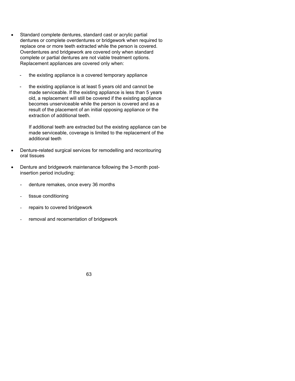- Standard complete dentures, standard cast or acrylic partial dentures or complete overdentures or bridgework when required to replace one or more teeth extracted while the person is covered. Overdentures and bridgework are covered only when standard complete or partial dentures are not viable treatment options. Replacement appliances are covered only when:
	- the existing appliance is a covered temporary appliance
	- the existing appliance is at least 5 years old and cannot be made serviceable. If the existing appliance is less than 5 years old, a replacement will still be covered if the existing appliance becomes unserviceable while the person is covered and as a result of the placement of an initial opposing appliance or the extraction of additional teeth.

If additional teeth are extracted but the existing appliance can be made serviceable, coverage is limited to the replacement of the additional teeth

- Denture-related surgical services for remodelling and recontouring oral tissues
- Denture and bridgework maintenance following the 3-month postinsertion period including:
	- denture remakes, once every 36 months
	- tissue conditioning
	- repairs to covered bridgework
	- removal and recementation of bridgework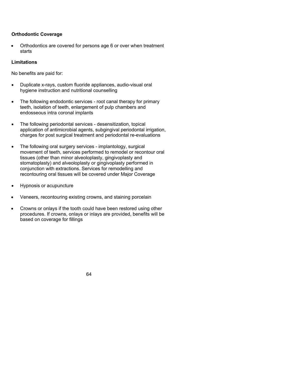## **Orthodontic Coverage**

 Orthodontics are covered for persons age 6 or over when treatment starts

## **Limitations**

No benefits are paid for:

- Duplicate x-rays, custom fluoride appliances, audio-visual oral hygiene instruction and nutritional counselling
- The following endodontic services root canal therapy for primary teeth, isolation of teeth, enlargement of pulp chambers and endosseous intra coronal implants
- The following periodontal services desensitization, topical application of antimicrobial agents, subgingival periodontal irrigation, charges for post surgical treatment and periodontal re-evaluations
- The following oral surgery services implantology, surgical movement of teeth, services performed to remodel or recontour oral tissues (other than minor alveoloplasty, gingivoplasty and stomatoplasty) and alveoloplasty or gingivoplasty performed in conjunction with extractions. Services for remodelling and recontouring oral tissues will be covered under Major Coverage
- Hypnosis or acupuncture
- Veneers, recontouring existing crowns, and staining porcelain
- Crowns or onlays if the tooth could have been restored using other procedures. If crowns, onlays or inlays are provided, benefits will be based on coverage for fillings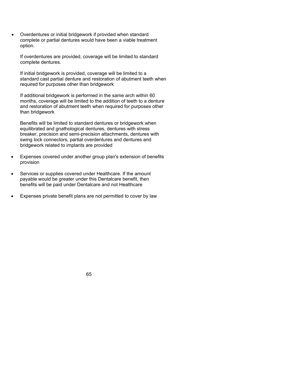Overdentures or initial bridgework if provided when standard complete or partial dentures would have been a viable treatment option.

If overdentures are provided, coverage will be limited to standard complete dentures.

If initial bridgework is provided, coverage will be limited to a standard cast partial denture and restoration of abutment teeth when required for purposes other than bridgework

If additional bridgework is performed in the same arch within 60 months, coverage will be limited to the addition of teeth to a denture and restoration of abutment teeth when required for purposes other than bridgework

Benefits will be limited to standard dentures or bridgework when equilibrated and gnathological dentures, dentures with stress breaker, precision and semi-precision attachments, dentures with swing lock connectors, partial overdentures and dentures and bridgework related to implants are provided

- Expenses covered under another group plan's extension of benefits provision
- Services or supplies covered under Healthcare. If the amount payable would be greater under this Dentalcare benefit, then benefits will be paid under Dentalcare and not Healthcare
- Expenses private benefit plans are not permitted to cover by law

65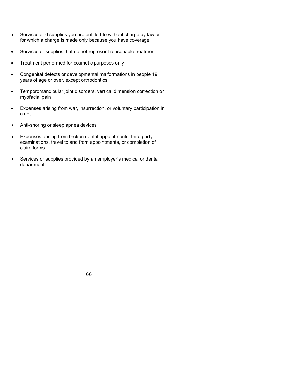- Services and supplies you are entitled to without charge by law or for which a charge is made only because you have coverage
- Services or supplies that do not represent reasonable treatment
- Treatment performed for cosmetic purposes only
- Congenital defects or developmental malformations in people 19 years of age or over, except orthodontics
- Temporomandibular joint disorders, vertical dimension correction or myofacial pain
- Expenses arising from war, insurrection, or voluntary participation in a riot
- Anti-snoring or sleep apnea devices
- Expenses arising from broken dental appointments, third party examinations, travel to and from appointments, or completion of claim forms
- Services or supplies provided by an employer's medical or dental department

66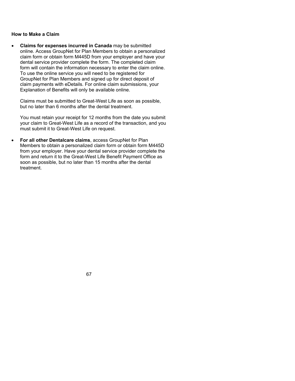## **How to Make a Claim**

 **Claims for expenses incurred in Canada** may be submitted online. Access GroupNet for Plan Members to obtain a personalized claim form or obtain form M445D from your employer and have your dental service provider complete the form. The completed claim form will contain the information necessary to enter the claim online. To use the online service you will need to be registered for GroupNet for Plan Members and signed up for direct deposit of claim payments with eDetails. For online claim submissions, your Explanation of Benefits will only be available online.

Claims must be submitted to Great-West Life as soon as possible, but no later than 6 months after the dental treatment.

You must retain your receipt for 12 months from the date you submit your claim to Great-West Life as a record of the transaction, and you must submit it to Great-West Life on request.

 **For all other Dentalcare claims**, access GroupNet for Plan Members to obtain a personalized claim form or obtain form M445D from your employer. Have your dental service provider complete the form and return it to the Great-West Life Benefit Payment Office as soon as possible, but no later than 15 months after the dental treatment.